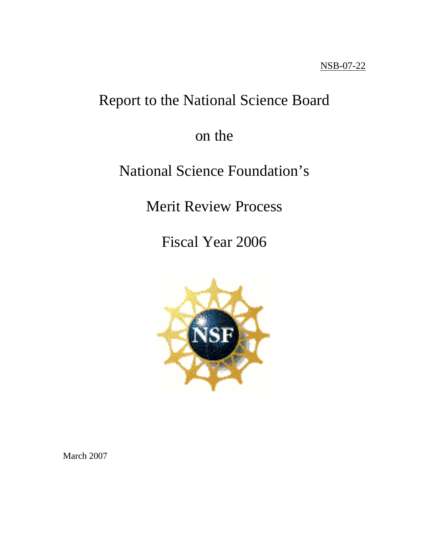# Report to the National Science Board

# on the

# National Science Foundation's

Merit Review Process

Fiscal Year 2006



March 2007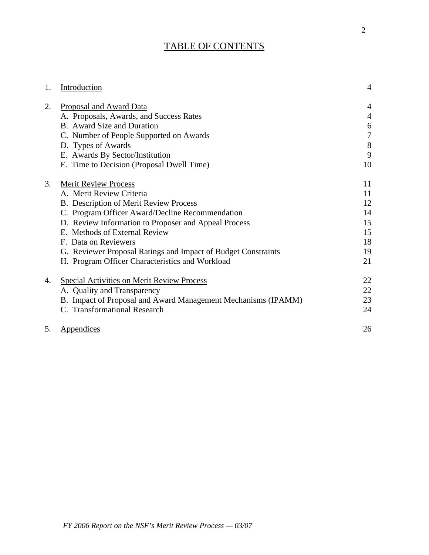### TABLE OF CONTENTS

| 1. | Introduction                                                  | $\overline{4}$ |
|----|---------------------------------------------------------------|----------------|
| 2. | Proposal and Award Data                                       | 4              |
|    | A. Proposals, Awards, and Success Rates                       | $\overline{4}$ |
|    | B. Award Size and Duration                                    | 6              |
|    | C. Number of People Supported on Awards                       | $\tau$         |
|    | D. Types of Awards                                            | 8              |
|    | E. Awards By Sector/Institution                               | 9              |
|    | F. Time to Decision (Proposal Dwell Time)                     | 10             |
| 3. | <b>Merit Review Process</b>                                   | 11             |
|    | A. Merit Review Criteria                                      | 11             |
|    | B. Description of Merit Review Process                        | 12             |
|    | C. Program Officer Award/Decline Recommendation               | 14             |
|    | D. Review Information to Proposer and Appeal Process          | 15             |
|    | E. Methods of External Review                                 | 15             |
|    | F. Data on Reviewers                                          | 18             |
|    | G. Reviewer Proposal Ratings and Impact of Budget Constraints | 19             |
|    | H. Program Officer Characteristics and Workload               | 21             |
| 4. | <b>Special Activities on Merit Review Process</b>             | 22             |
|    | A. Quality and Transparency                                   | 22             |
|    | B. Impact of Proposal and Award Management Mechanisms (IPAMM) | 23             |
|    | C. Transformational Research                                  | 24             |
| 5. | Appendices                                                    | 26             |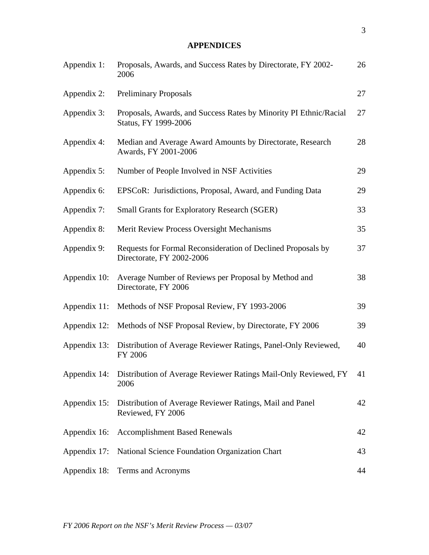#### **APPENDICES**

| Appendix 1:  | Proposals, Awards, and Success Rates by Directorate, FY 2002-<br>2006                     | 26 |
|--------------|-------------------------------------------------------------------------------------------|----|
| Appendix 2:  | <b>Preliminary Proposals</b>                                                              | 27 |
| Appendix 3:  | Proposals, Awards, and Success Rates by Minority PI Ethnic/Racial<br>Status, FY 1999-2006 | 27 |
| Appendix 4:  | Median and Average Award Amounts by Directorate, Research<br>Awards, FY 2001-2006         | 28 |
| Appendix 5:  | Number of People Involved in NSF Activities                                               | 29 |
| Appendix 6:  | EPSCoR: Jurisdictions, Proposal, Award, and Funding Data                                  | 29 |
| Appendix 7:  | <b>Small Grants for Exploratory Research (SGER)</b>                                       | 33 |
| Appendix 8:  | Merit Review Process Oversight Mechanisms                                                 | 35 |
| Appendix 9:  | Requests for Formal Reconsideration of Declined Proposals by<br>Directorate, FY 2002-2006 | 37 |
| Appendix 10: | Average Number of Reviews per Proposal by Method and<br>Directorate, FY 2006              | 38 |
| Appendix 11: | Methods of NSF Proposal Review, FY 1993-2006                                              | 39 |
| Appendix 12: | Methods of NSF Proposal Review, by Directorate, FY 2006                                   | 39 |
| Appendix 13: | Distribution of Average Reviewer Ratings, Panel-Only Reviewed,<br>FY 2006                 | 40 |
|              | Appendix 14: Distribution of Average Reviewer Ratings Mail-Only Reviewed, FY<br>2006      | 41 |
| Appendix 15: | Distribution of Average Reviewer Ratings, Mail and Panel<br>Reviewed, FY 2006             | 42 |
| Appendix 16: | <b>Accomplishment Based Renewals</b>                                                      | 42 |
| Appendix 17: | National Science Foundation Organization Chart                                            | 43 |
| Appendix 18: | Terms and Acronyms                                                                        | 44 |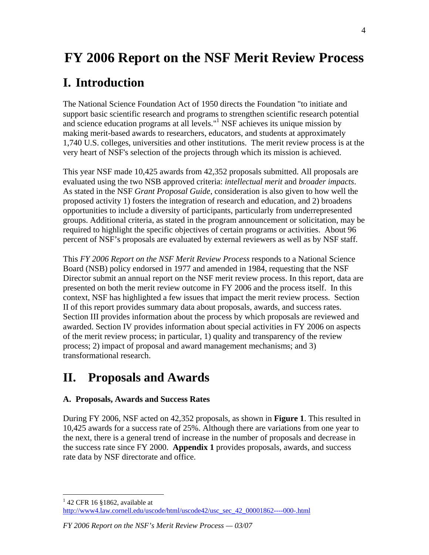# **FY 2006 Report on the NSF Merit Review Process**

### **I. Introduction**

The National Science Foundation Act of 1950 directs the Foundation "to initiate and support basic scientific research and programs to strengthen scientific research potential and science education programs at all levels."<sup>1</sup> NSF achieves its unique mission by making merit-based awards to researchers, educators, and students at approximately 1,740 U.S. colleges, universities and other institutions. The merit review process is at the very heart of NSF's selection of the projects through which its mission is achieved.

This year NSF made 10,425 awards from 42,352 proposals submitted. All proposals are evaluated using the two NSB approved criteria: *intellectual merit* and *broader impacts*. As stated in the NSF *Grant Proposal Guide*, consideration is also given to how well the proposed activity 1) fosters the integration of research and education, and 2) broadens opportunities to include a diversity of participants, particularly from underrepresented groups. Additional criteria, as stated in the program announcement or solicitation, may be required to highlight the specific objectives of certain programs or activities. About 96 percent of NSF's proposals are evaluated by external reviewers as well as by NSF staff.

This *FY 2006 Report on the NSF Merit Review Process* responds to a National Science Board (NSB) policy endorsed in 1977 and amended in 1984, requesting that the NSF Director submit an annual report on the NSF merit review process. In this report, data are presented on both the merit review outcome in FY 2006 and the process itself. In this context, NSF has highlighted a few issues that impact the merit review process. Section II of this report provides summary data about proposals, awards, and success rates. Section III provides information about the process by which proposals are reviewed and awarded. Section IV provides information about special activities in FY 2006 on aspects of the merit review process; in particular, 1) quality and transparency of the review process; 2) impact of proposal and award management mechanisms; and 3) transformational research.

## **II. Proposals and Awards**

#### **A. Proposals, Awards and Success Rates**

During FY 2006, NSF acted on 42,352 proposals, as shown in **Figure 1**. This resulted in 10,425 awards for a success rate of 25%. Although there are variations from one year to the next, there is a general trend of increase in the number of proposals and decrease in the success rate since FY 2000. **Appendix 1** provides proposals, awards, and success rate data by NSF directorate and office.

 $142$  CFR 16 §1862, available at http://www4.law.cornell.edu/uscode/html/uscode42/usc\_sec\_42\_00001862----000-.html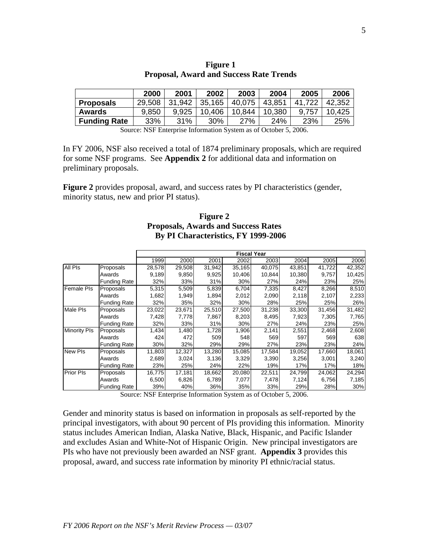|                     | 2000   | 2001   | 2002   | 2003   | 2004   | 2005       | 2006   |
|---------------------|--------|--------|--------|--------|--------|------------|--------|
| <b>Proposals</b>    | 29.508 | 31.942 | 35,165 | 40,075 | 43,851 | 41.722     | 42.352 |
| Awards              | 9.850  | 9.925  | 10.406 | 10,844 | 10,380 | 9.<br>.757 | 10.425 |
| <b>Funding Rate</b> | 33%    | 31%    | 30%    | 27%    | 24%    | 23%        | 25%    |
|                     |        |        |        |        |        | - - - -    |        |

| Figure 1                                       |
|------------------------------------------------|
| <b>Proposal, Award and Success Rate Trends</b> |

Source: NSF Enterprise Information System as of October 5, 2006.

In FY 2006, NSF also received a total of 1874 preliminary proposals, which are required for some NSF programs. See **Appendix 2** for additional data and information on preliminary proposals.

**Figure 2** provides proposal, award, and success rates by PI characteristics (gender, minority status, new and prior PI status).

|                     |                     |        | <b>Fiscal Year</b> |        |        |        |        |        |        |  |  |  |  |
|---------------------|---------------------|--------|--------------------|--------|--------|--------|--------|--------|--------|--|--|--|--|
|                     |                     | 1999   | 2000               | 2001   | 2002   | 2003   | 2004   | 2005   | 2006   |  |  |  |  |
| All Pls             | Proposals           | 28,578 | 29,508             | 31,942 | 35,165 | 40,075 | 43,851 | 41,722 | 42,352 |  |  |  |  |
|                     | Awards              | 9,189  | 9,850              | 9,925  | 10,406 | 10,844 | 10,380 | 9,757  | 10,425 |  |  |  |  |
|                     | <b>Funding Rate</b> | 32%    | 33%                | 31%    | 30%    | 27%    | 24%    | 23%    | 25%    |  |  |  |  |
| Female Pls          | Proposals           | 5,315  | 5,509              | 5,839  | 6,704  | 7,335  | 8,427  | 8,266  | 8,510  |  |  |  |  |
|                     | Awards              | 1,682  | 1,949              | 1,894  | 2,012  | 2,090  | 2,118  | 2,107  | 2,233  |  |  |  |  |
|                     | <b>Funding Rate</b> | 32%    | 35%                | 32%    | 30%    | 28%    | 25%    | 25%    | 26%    |  |  |  |  |
| Male Pls            | Proposals           | 23,022 | 23,671             | 25,510 | 27,500 | 31,238 | 33,300 | 31,456 | 31,482 |  |  |  |  |
|                     | Awards              | 7,428  | 7,778              | 7,867  | 8,203  | 8,495  | 7,923  | 7,305  | 7,765  |  |  |  |  |
|                     | <b>Funding Rate</b> | 32%    | 33%                | 31%    | 30%    | 27%    | 24%    | 23%    | 25%    |  |  |  |  |
| <b>Minority PIs</b> | Proposals           | 1,434  | 1,480              | 1,728  | 1,906  | 2,141  | 2,551  | 2,468  | 2,608  |  |  |  |  |
|                     | Awards              | 424    | 472                | 509    | 548    | 569    | 597    | 569    | 638    |  |  |  |  |
|                     | <b>Funding Rate</b> | 30%    | 32%                | 29%    | 29%    | 27%    | 23%    | 23%    | 24%    |  |  |  |  |
| <b>New PIs</b>      | Proposals           | 11,803 | 12,327             | 13,280 | 15,085 | 17,584 | 19,052 | 17,660 | 18,061 |  |  |  |  |
|                     | Awards              | 2,689  | 3,024              | 3,136  | 3,329  | 3,390  | 3,256  | 3,001  | 3,240  |  |  |  |  |
|                     | <b>Funding Rate</b> | 23%    | 25%                | 24%    | 22%    | 19%    | 17%    | 17%    | 18%    |  |  |  |  |
| <b>Prior PIs</b>    | Proposals           | 16,775 | 17,181             | 18,662 | 20,080 | 22,511 | 24,799 | 24,062 | 24,294 |  |  |  |  |
|                     | Awards              | 6,500  | 6,826              | 6,789  | 7,077  | 7,478  | 7,124  | 6,756  | 7,185  |  |  |  |  |
|                     | <b>Funding Rate</b> | 39%    | 40%                | 36%    | 35%    | 33%    | 29%    | 28%    | 30%    |  |  |  |  |

**Figure 2 Proposals, Awards and Success Rates By PI Characteristics, FY 1999-2006** 

Source: NSF Enterprise Information System as of October 5, 2006.

Gender and minority status is based on information in proposals as self-reported by the principal investigators, with about 90 percent of PIs providing this information. Minority status includes American Indian, Alaska Native, Black, Hispanic, and Pacific Islander and excludes Asian and White-Not of Hispanic Origin. New principal investigators are PIs who have not previously been awarded an NSF grant. **Appendix 3** provides this proposal, award, and success rate information by minority PI ethnic/racial status.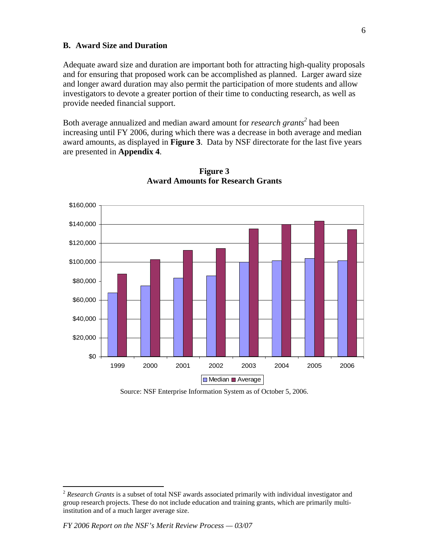#### **B. Award Size and Duration**

Adequate award size and duration are important both for attracting high-quality proposals and for ensuring that proposed work can be accomplished as planned. Larger award size and longer award duration may also permit the participation of more students and allow investigators to devote a greater portion of their time to conducting research, as well as provide needed financial support.

Both average annualized and median award amount for *research grants*<sup>2</sup> had been increasing until FY 2006, during which there was a decrease in both average and median award amounts, as displayed in **Figure 3**. Data by NSF directorate for the last five years are presented in **Appendix 4**.



**Figure 3 Award Amounts for Research Grants** 

<sup>2</sup>*Research Grants* is a subset of total NSF awards associated primarily with individual investigator and group research projects. These do not include education and training grants, which are primarily multiinstitution and of a much larger average size.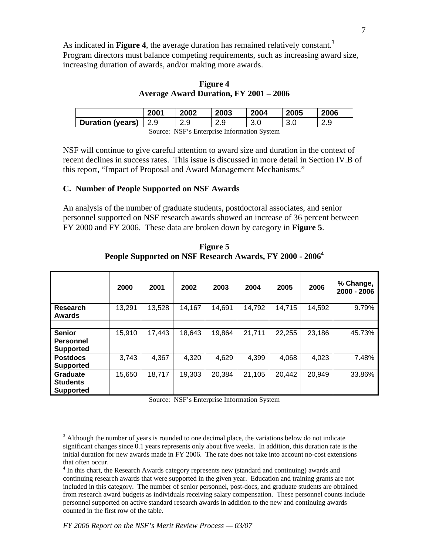As indicated in **Figure 4**, the average duration has remained relatively constant.<sup>3</sup> Program directors must balance competing requirements, such as increasing award size, increasing duration of awards, and/or making more awards.

**Figure 4 Average Award Duration, FY 2001 – 2006** 

|                                             | 2001 | 2002 | 2003 | 2004 | 2005 | 2006 |  |  |  |  |
|---------------------------------------------|------|------|------|------|------|------|--|--|--|--|
| Duration (years) $ 2.9 $                    |      | 2.9  | 2.9  | 3.0  | 3.0  | 2.9  |  |  |  |  |
| Source: NSF's Enterprise Information System |      |      |      |      |      |      |  |  |  |  |

NSF will continue to give careful attention to award size and duration in the context of recent declines in success rates. This issue is discussed in more detail in Section IV.B of this report, "Impact of Proposal and Award Management Mechanisms."

#### **C. Number of People Supported on NSF Awards**

An analysis of the number of graduate students, postdoctoral associates, and senior personnel supported on NSF research awards showed an increase of 36 percent between FY 2000 and FY 2006. These data are broken down by category in **Figure 5**.

|                                                       | 2000   | 2001   | 2002   | 2003   | 2004   | 2005   | 2006   | % Change,<br>2000 - 2006 |
|-------------------------------------------------------|--------|--------|--------|--------|--------|--------|--------|--------------------------|
| Research<br>Awards                                    | 13,291 | 13,528 | 14,167 | 14,691 | 14,792 | 14,715 | 14,592 | 9.79%                    |
|                                                       |        |        |        |        |        |        |        |                          |
| <b>Senior</b><br><b>Personnel</b><br><b>Supported</b> | 15,910 | 17.443 | 18,643 | 19,864 | 21,711 | 22,255 | 23,186 | 45.73%                   |
| <b>Postdocs</b><br><b>Supported</b>                   | 3,743  | 4,367  | 4,320  | 4,629  | 4,399  | 4,068  | 4,023  | 7.48%                    |
| Graduate<br><b>Students</b><br><b>Supported</b>       | 15,650 | 18,717 | 19,303 | 20,384 | 21,105 | 20,442 | 20,949 | 33.86%                   |

**Figure 5 People Supported on NSF Research Awards, FY 2000 - 20064**

Source: NSF's Enterprise Information System

 $3$  Although the number of years is rounded to one decimal place, the variations below do not indicate significant changes since 0.1 years represents only about five weeks. In addition, this duration rate is the initial duration for new awards made in FY 2006. The rate does not take into account no-cost extensions that often occur.

<sup>&</sup>lt;sup>4</sup> In this chart, the Research Awards category represents new (standard and continuing) awards and continuing research awards that were supported in the given year. Education and training grants are not included in this category. The number of senior personnel, post-docs, and graduate students are obtained from research award budgets as individuals receiving salary compensation. These personnel counts include personnel supported on active standard research awards in addition to the new and continuing awards counted in the first row of the table.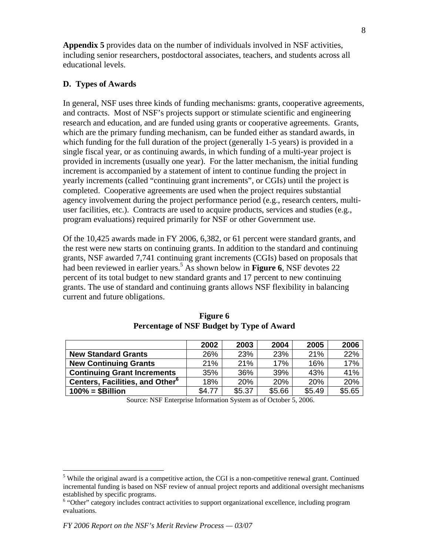**Appendix 5** provides data on the number of individuals involved in NSF activities, including senior researchers, postdoctoral associates, teachers, and students across all educational levels.

#### **D. Types of Awards**

In general, NSF uses three kinds of funding mechanisms: grants, cooperative agreements, and contracts. Most of NSF's projects support or stimulate scientific and engineering research and education, and are funded using grants or cooperative agreements. Grants, which are the primary funding mechanism, can be funded either as standard awards, in which funding for the full duration of the project (generally 1-5 years) is provided in a single fiscal year, or as continuing awards, in which funding of a multi-year project is provided in increments (usually one year). For the latter mechanism, the initial funding increment is accompanied by a statement of intent to continue funding the project in yearly increments (called "continuing grant increments", or CGIs) until the project is completed. Cooperative agreements are used when the project requires substantial agency involvement during the project performance period (e.g., research centers, multiuser facilities, etc.). Contracts are used to acquire products, services and studies (e.g., program evaluations) required primarily for NSF or other Government use.

Of the 10,425 awards made in FY 2006, 6,382, or 61 percent were standard grants, and the rest were new starts on continuing grants. In addition to the standard and continuing grants, NSF awarded 7,741 continuing grant increments (CGIs) based on proposals that had been reviewed in earlier years.<sup>5</sup> As shown below in **Figure 6**, NSF devotes 22 percent of its total budget to new standard grants and 17 percent to new continuing grants. The use of standard and continuing grants allows NSF flexibility in balancing current and future obligations.

|                                             | 2002   | 2003   | 2004   | 2005       | 2006   |
|---------------------------------------------|--------|--------|--------|------------|--------|
| <b>New Standard Grants</b>                  | 26%    | 23%    | 23%    | 21%        | 22%    |
| <b>New Continuing Grants</b>                | 21%    | 21%    | 17%    | 16%        | 17%    |
| <b>Continuing Grant Increments</b>          | 35%    | 36%    | 39%    | 43%        | 41%    |
| Centers, Facilities, and Other <sup>6</sup> | 18%    | 20%    | 20%    | <b>20%</b> | 20%    |
| $100\% =$ \$Billion                         | \$4.77 | \$5.37 | \$5.66 | \$5.49     | \$5.65 |

**Figure 6 Percentage of NSF Budget by Type of Award** 

<sup>5</sup> While the original award is a competitive action, the CGI is a non-competitive renewal grant. Continued incremental funding is based on NSF review of annual project reports and additional oversight mechanisms established by specific programs. 6

<sup>&</sup>lt;sup>6</sup> "Other" category includes contract activities to support organizational excellence, including program evaluations.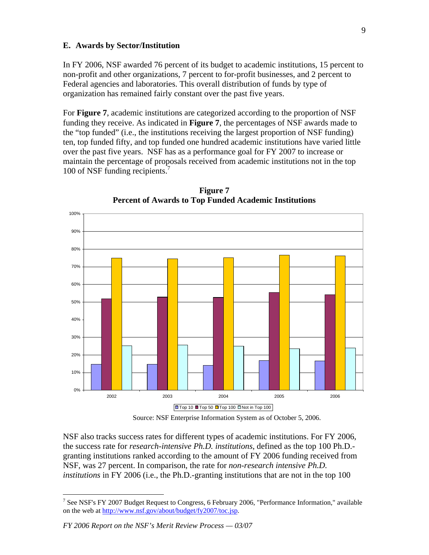#### **E. Awards by Sector/Institution**

In FY 2006, NSF awarded 76 percent of its budget to academic institutions, 15 percent to non-profit and other organizations, 7 percent to for-profit businesses, and 2 percent to Federal agencies and laboratories. This overall distribution of funds by type of organization has remained fairly constant over the past five years.

For **Figure 7**, academic institutions are categorized according to the proportion of NSF funding they receive. As indicated in **Figure 7**, the percentages of NSF awards made to the "top funded" (i.e., the institutions receiving the largest proportion of NSF funding) ten, top funded fifty, and top funded one hundred academic institutions have varied little over the past five years. NSF has as a performance goal for FY 2007 to increase or maintain the percentage of proposals received from academic institutions not in the top 100 of NSF funding recipients.<sup>7</sup>



**Figure 7 Percent of Awards to Top Funded Academic Institutions**

Source: NSF Enterprise Information System as of October 5, 2006.

NSF also tracks success rates for different types of academic institutions. For FY 2006, the success rate for *research-intensive Ph.D. institutions*, defined as the top 100 Ph.D. granting institutions ranked according to the amount of FY 2006 funding received from NSF, was 27 percent. In comparison, the rate for *non-research intensive Ph.D. institutions* in FY 2006 (i.e., the Ph.D.-granting institutions that are not in the top 100

<sup>&</sup>lt;sup>7</sup> See NSF's FY 2007 Budget Request to Congress, 6 February 2006, "Performance Information," available on the web at http://www.nsf.gov/about/budget/fy2007/toc.jsp.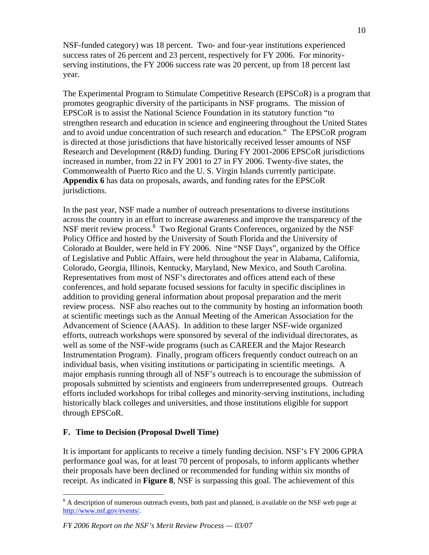NSF-funded category) was 18 percent. Two- and four-year institutions experienced success rates of 26 percent and 23 percent, respectively for FY 2006. For minorityserving institutions, the FY 2006 success rate was 20 percent, up from 18 percent last year.

The Experimental Program to Stimulate Competitive Research (EPSCoR) is a program that promotes geographic diversity of the participants in NSF programs. The mission of EPSCoR is to assist the National Science Foundation in its statutory function "to strengthen research and education in science and engineering throughout the United States and to avoid undue concentration of such research and education." The EPSCoR program is directed at those jurisdictions that have historically received lesser amounts of NSF Research and Development (R&D) funding. During FY 2001-2006 EPSCoR jurisdictions increased in number, from 22 in FY 2001 to 27 in FY 2006. Twenty-five states, the Commonwealth of Puerto Rico and the U. S. Virgin Islands currently participate. **Appendix 6** has data on proposals, awards, and funding rates for the EPSCoR jurisdictions.

In the past year, NSF made a number of outreach presentations to diverse institutions across the country in an effort to increase awareness and improve the transparency of the NSF merit review process.<sup>8</sup> Two Regional Grants Conferences, organized by the NSF Policy Office and hosted by the University of South Florida and the University of Colorado at Boulder, were held in FY 2006. Nine "NSF Days", organized by the Office of Legislative and Public Affairs, were held throughout the year in Alabama, California, Colorado, Georgia, Illinois, Kentucky, Maryland, New Mexico, and South Carolina. Representatives from most of NSF's directorates and offices attend each of these conferences, and hold separate focused sessions for faculty in specific disciplines in addition to providing general information about proposal preparation and the merit review process. NSF also reaches out to the community by hosting an information booth at scientific meetings such as the Annual Meeting of the American Association for the Advancement of Science (AAAS). In addition to these larger NSF-wide organized efforts, outreach workshops were sponsored by several of the individual directorates, as well as some of the NSF-wide programs (such as CAREER and the Major Research Instrumentation Program). Finally, program officers frequently conduct outreach on an individual basis, when visiting institutions or participating in scientific meetings. A major emphasis running through all of NSF's outreach is to encourage the submission of proposals submitted by scientists and engineers from underrepresented groups. Outreach efforts included workshops for tribal colleges and minority-serving institutions, including historically black colleges and universities, and those institutions eligible for support through EPSCoR.

#### **F. Time to Decision (Proposal Dwell Time)**

It is important for applicants to receive a timely funding decision. NSF's FY 2006 GPRA performance goal was, for at least 70 percent of proposals, to inform applicants whether their proposals have been declined or recommended for funding within six months of receipt. As indicated in **Figure 8**, NSF is surpassing this goal. The achievement of this

 $8$  A description of numerous outreach events, both past and planned, is available on the NSF web page at http://www.nsf.gov/events/.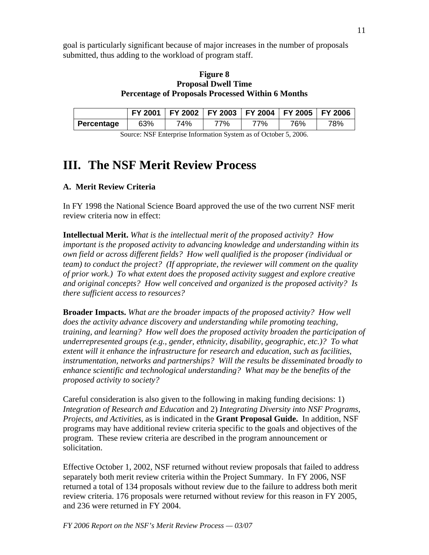goal is particularly significant because of major increases in the number of proposals submitted, thus adding to the workload of program staff.

#### **Figure 8 Proposal Dwell Time Percentage of Proposals Processed Within 6 Months**

|            | FY 2001 |     | FY 2002   FY 2003   FY 2004   FY 2005   FY 2006 |     |     |     |
|------------|---------|-----|-------------------------------------------------|-----|-----|-----|
| Percentage | 63%     | 74% | 77%                                             | 77% | 76% | 78% |

Source: NSF Enterprise Information System as of October 5, 2006.

### **III. The NSF Merit Review Process**

#### **A. Merit Review Criteria**

In FY 1998 the National Science Board approved the use of the two current NSF merit review criteria now in effect:

**Intellectual Merit.** *What is the intellectual merit of the proposed activity? How important is the proposed activity to advancing knowledge and understanding within its own field or across different fields? How well qualified is the proposer (individual or team) to conduct the project? (If appropriate, the reviewer will comment on the quality of prior work.) To what extent does the proposed activity suggest and explore creative and original concepts? How well conceived and organized is the proposed activity? Is there sufficient access to resources?* 

**Broader Impacts.** *What are the broader impacts of the proposed activity? How well does the activity advance discovery and understanding while promoting teaching, training, and learning? How well does the proposed activity broaden the participation of underrepresented groups (e.g., gender, ethnicity, disability, geographic, etc.)? To what extent will it enhance the infrastructure for research and education, such as facilities, instrumentation, networks and partnerships? Will the results be disseminated broadly to enhance scientific and technological understanding? What may be the benefits of the proposed activity to society?* 

Careful consideration is also given to the following in making funding decisions: 1) *Integration of Research and Education* and 2) *Integrating Diversity into NSF Programs, Projects, and Activities*, as is indicated in the **Grant Proposal Guide.** In addition, NSF programs may have additional review criteria specific to the goals and objectives of the program. These review criteria are described in the program announcement or solicitation.

Effective October 1, 2002, NSF returned without review proposals that failed to address separately both merit review criteria within the Project Summary. In FY 2006, NSF returned a total of 134 proposals without review due to the failure to address both merit review criteria. 176 proposals were returned without review for this reason in FY 2005, and 236 were returned in FY 2004.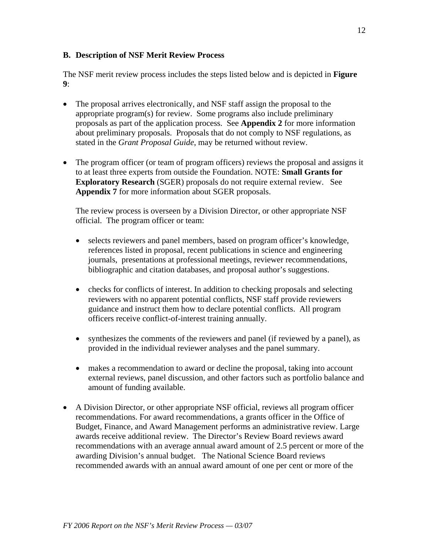#### **B. Description of NSF Merit Review Process**

The NSF merit review process includes the steps listed below and is depicted in **Figure 9**:

- The proposal arrives electronically, and NSF staff assign the proposal to the appropriate program(s) for review. Some programs also include preliminary proposals as part of the application process. See **Appendix 2** for more information about preliminary proposals. Proposals that do not comply to NSF regulations, as stated in the *Grant Proposal Guide*, may be returned without review.
- The program officer (or team of program officers) reviews the proposal and assigns it to at least three experts from outside the Foundation. NOTE: **Small Grants for Exploratory Research** (SGER) proposals do not require external review. See **Appendix 7** for more information about SGER proposals.

The review process is overseen by a Division Director, or other appropriate NSF official. The program officer or team:

- selects reviewers and panel members, based on program officer's knowledge, references listed in proposal, recent publications in science and engineering journals, presentations at professional meetings, reviewer recommendations, bibliographic and citation databases, and proposal author's suggestions.
- checks for conflicts of interest. In addition to checking proposals and selecting reviewers with no apparent potential conflicts, NSF staff provide reviewers guidance and instruct them how to declare potential conflicts. All program officers receive conflict-of-interest training annually.
- synthesizes the comments of the reviewers and panel (if reviewed by a panel), as provided in the individual reviewer analyses and the panel summary.
- makes a recommendation to award or decline the proposal, taking into account external reviews, panel discussion, and other factors such as portfolio balance and amount of funding available.
- A Division Director, or other appropriate NSF official, reviews all program officer recommendations. For award recommendations, a grants officer in the Office of Budget, Finance, and Award Management performs an administrative review. Large awards receive additional review. The Director's Review Board reviews award recommendations with an average annual award amount of 2.5 percent or more of the awarding Division's annual budget. The National Science Board reviews recommended awards with an annual award amount of one per cent or more of the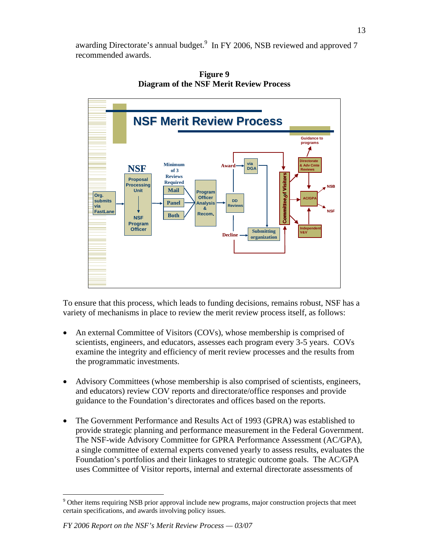awarding Directorate's annual budget.<sup>9</sup> In FY 2006, NSB reviewed and approved 7 recommended awards.



**Figure 9 Diagram of the NSF Merit Review Process** 

To ensure that this process, which leads to funding decisions, remains robust, NSF has a variety of mechanisms in place to review the merit review process itself, as follows:

- An external Committee of Visitors (COVs), whose membership is comprised of scientists, engineers, and educators, assesses each program every 3-5 years. COVs examine the integrity and efficiency of merit review processes and the results from the programmatic investments.
- Advisory Committees (whose membership is also comprised of scientists, engineers, and educators) review COV reports and directorate/office responses and provide guidance to the Foundation's directorates and offices based on the reports.
- The Government Performance and Results Act of 1993 (GPRA) was established to provide strategic planning and performance measurement in the Federal Government. The NSF-wide Advisory Committee for GPRA Performance Assessment (AC/GPA), a single committee of external experts convened yearly to assess results, evaluates the Foundation's portfolios and their linkages to strategic outcome goals. The AC/GPA uses Committee of Visitor reports, internal and external directorate assessments of

<sup>&</sup>lt;sup>9</sup> Other items requiring NSB prior approval include new programs, major construction projects that meet certain specifications, and awards involving policy issues.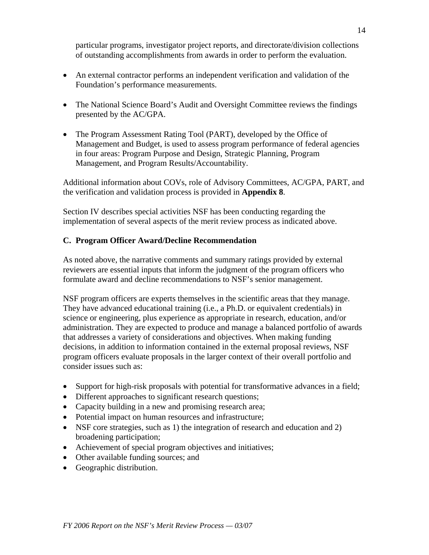particular programs, investigator project reports, and directorate/division collections of outstanding accomplishments from awards in order to perform the evaluation.

- An external contractor performs an independent verification and validation of the Foundation's performance measurements.
- The National Science Board's Audit and Oversight Committee reviews the findings presented by the AC/GPA.
- The Program Assessment Rating Tool (PART), developed by the Office of Management and Budget, is used to assess program performance of federal agencies in four areas: Program Purpose and Design, Strategic Planning, Program Management, and Program Results/Accountability.

Additional information about COVs, role of Advisory Committees, AC/GPA, PART, and the verification and validation process is provided in **Appendix 8**.

Section IV describes special activities NSF has been conducting regarding the implementation of several aspects of the merit review process as indicated above.

#### **C. Program Officer Award/Decline Recommendation**

As noted above, the narrative comments and summary ratings provided by external reviewers are essential inputs that inform the judgment of the program officers who formulate award and decline recommendations to NSF's senior management.

NSF program officers are experts themselves in the scientific areas that they manage. They have advanced educational training (i.e., a Ph.D. or equivalent credentials) in science or engineering, plus experience as appropriate in research, education, and/or administration. They are expected to produce and manage a balanced portfolio of awards that addresses a variety of considerations and objectives. When making funding decisions, in addition to information contained in the external proposal reviews, NSF program officers evaluate proposals in the larger context of their overall portfolio and consider issues such as:

- Support for high-risk proposals with potential for transformative advances in a field;
- Different approaches to significant research questions;
- Capacity building in a new and promising research area;
- Potential impact on human resources and infrastructure;
- NSF core strategies, such as 1) the integration of research and education and 2) broadening participation;
- Achievement of special program objectives and initiatives;
- Other available funding sources; and
- Geographic distribution.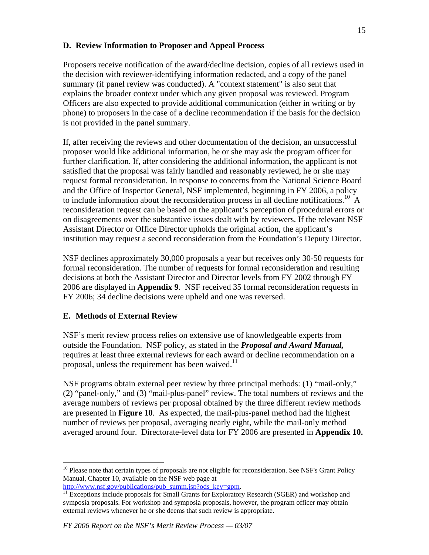#### **D. Review Information to Proposer and Appeal Process**

Proposers receive notification of the award/decline decision, copies of all reviews used in the decision with reviewer-identifying information redacted, and a copy of the panel summary (if panel review was conducted). A "context statement" is also sent that explains the broader context under which any given proposal was reviewed. Program Officers are also expected to provide additional communication (either in writing or by phone) to proposers in the case of a decline recommendation if the basis for the decision is not provided in the panel summary.

If, after receiving the reviews and other documentation of the decision, an unsuccessful proposer would like additional information, he or she may ask the program officer for further clarification. If, after considering the additional information, the applicant is not satisfied that the proposal was fairly handled and reasonably reviewed, he or she may request formal reconsideration. In response to concerns from the National Science Board and the Office of Inspector General, NSF implemented, beginning in FY 2006, a policy to include information about the reconsideration process in all decline notifications.<sup>10</sup> A reconsideration request can be based on the applicant's perception of procedural errors or on disagreements over the substantive issues dealt with by reviewers. If the relevant NSF Assistant Director or Office Director upholds the original action, the applicant's institution may request a second reconsideration from the Foundation's Deputy Director.

NSF declines approximately 30,000 proposals a year but receives only 30-50 requests for formal reconsideration. The number of requests for formal reconsideration and resulting decisions at both the Assistant Director and Director levels from FY 2002 through FY 2006 are displayed in **Appendix 9**. NSF received 35 formal reconsideration requests in FY 2006; 34 decline decisions were upheld and one was reversed.

#### **E. Methods of External Review**

NSF's merit review process relies on extensive use of knowledgeable experts from outside the Foundation. NSF policy, as stated in the *Proposal and Award Manual,*  requires at least three external reviews for each award or decline recommendation on a proposal, unless the requirement has been waived. $^{11}$ 

NSF programs obtain external peer review by three principal methods: (1) "mail-only," (2) "panel-only," and (3) "mail-plus-panel" review. The total numbers of reviews and the average numbers of reviews per proposal obtained by the three different review methods are presented in **Figure 10**. As expected, the mail-plus-panel method had the highest number of reviews per proposal, averaging nearly eight, while the mail-only method averaged around four. Directorate-level data for FY 2006 are presented in **Appendix 10.** 

<sup>&</sup>lt;sup>10</sup> Please note that certain types of proposals are not eligible for reconsideration. See NSF's Grant Policy Manual, Chapter 10, available on the NSF web page at http://www.nsf.gov/publications/pub summ.jsp?ods key=gpm.

<sup>&</sup>lt;sup>11</sup> Exceptions include proposals for Small Grants for Exploratory Research (SGER) and workshop and symposia proposals. For workshop and symposia proposals, however, the program officer may obtain external reviews whenever he or she deems that such review is appropriate.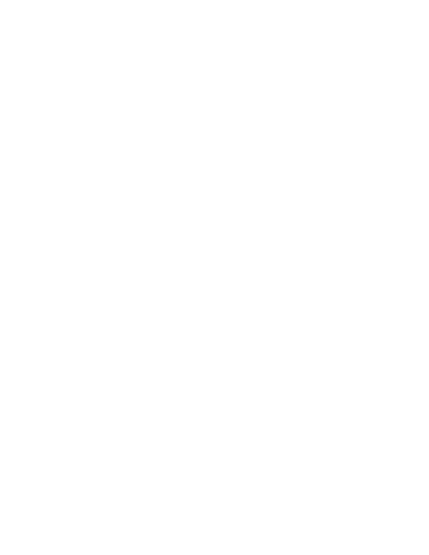# FY 2006 Report on the NSF Merit Review Process

### **I.** Introduction

The National Science Foundation Act of 1950 directs the Foundation "to initiate and support basic scientific research and programs to strengthen scientific research potential and science education programs at all levels."<sup>1</sup> NSF achieves its unique mission by making merit-based awards to researchers, educators, and students at approximately 1,740 U.S. colleges, universities and other institutions. The merit review process is at the very heart of NSF's selection of the projects through which its mission is achieved.

This year NSF made 10,425 awards from 42,352 proposals submitted. All proposals are evaluated using the two NSB approved criteria: intellectual meritd broader impacts As stated in the NSF Grant Proposal Guidensideration is also given to how well the proposed activity 1) fosters the integration of research and education, and 2) broadens opportunities to include a diversity of participants, particularly from underrepresented groups. Additional criteria, as stated in the program announcement or solicitation, may be required to highlight the specific objectives of certain programs or activities. About 96 percent of NSF's proposals are evaluated by external reviewers as well as by NSF staff.

This FY 2006 Report on the NSF Merit Review Pnosessis to a National Science Board (NSB) policy endorsed in 1977 and amended in 1984, requesting that the NSF Director submit an annual report on the NSF merit review process. In this report, data are presented on both the merit review outcome in FY 2006 and the process itself. In this context, NSF has highlighted a few issues that impact the merit review process. Section II of this report provides summary data about proposals, awards, and success rates. Section III provides information about the process by which proposals are reviewed and awarded. Section IV provides information about special activities in FY 2006 on aspects of the merit review process; in particular, 1) quality and transparency of the review process; 2) impact of proposal and award management mechanisms; and 3) transformational research.

#### П. **Proposals and Awards**

### A. Proposals, Awards and Success Rates

During FY 2006, NSF acted on 42,352 proposals, as shown in **Figure 1**. This resulted in 10,425 awards for a success rate of 25%. Although there are variations from one year to the next, there is a general trend of increase in the number of proposals and decrease in the success rate since FY 2000. Appendix 1 provides proposals, awards, and success rate data by NSF directorate and office.

 $1$  42 CFR 16 §1862, available at

http://www4.law.cornell.edu/uscode/html/uscode42/usc sec 42 00001862----000-.html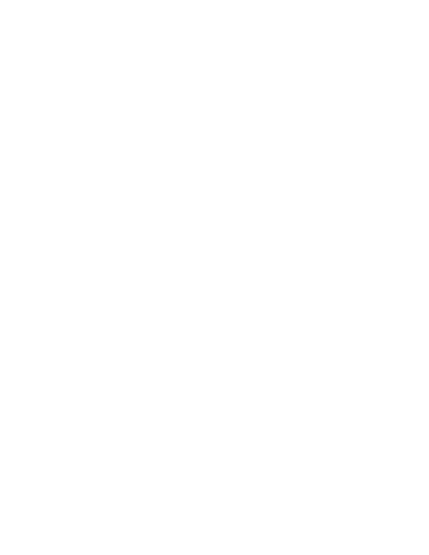NSF-funded catego) was 18 percent Two- and four-year institutions experienced success rates of 26 percent and 23 percespectively for F\2006. For minorityserving institutions, the F\2006 success rates 20 percet up from 18 percentlast year.

The Experinental Program to Stimulate Competitive Resench (EPSCoR) is arpgram that promotes geographic diversity of the paint plants in NSF program The mission of EPSCoR is to assist the National Scieffoundation in its atutory function to strengthen research and edtion in science and enginity throughout the Unitedtates and to avoid undue concentration of such a a set and education. The PPSCoR program is directed at those juisdictions that have historically eceived lesser apoints of NSF Research and Development (R&D) fundiDouring F\2001-2006 EPSCoR urisdictions increased in nuber, from 22 in FY2001 to 27 in FY2006. Twenty-five states, the Commonwelth of Puerto Rico and the U.S. Virgin Islands currently participate. Appendix 6 has data on proposals, awaraled funding rates for the EPSCoR *urisdictions* 

In the patyear, NSF rade a nurber of outeach presentation divese institutions across the country in an effort to increase and sension over the transparency of the NSF merit review process. Two Regional Grants Confences, organized by the NSF Policy Office and hosted by the University South Florida and the University of Colorado at Boulder, were held in E006. Nine NSF Days, organized by the Office of Legislative and Public Affairs, were het toughout the year in alabama, California, Colorado, Georgia, Illinois, Kentucky, Marland, New Mexico, and South Carolina. Representatives frommost of NSF's directorates and fotces attend eachfothese conferences, and hold separate focused sestsiofaculty inspecifc dsciplines in addition to providing general infortation about proposal prepation and the rerit review process. NSF also readers out to the community by hosting an information booth at scientific meetings suclas the Annual Meeting of the merican Association for the Advancenent of Science (AAAS). In addition to these larger NSF-wide organized efforts, outreach workst ps were sonsored byseveral of the individul directorates, as well as some of the NSF-wide program (such as CAREER nad the Mapr Research Instrumentation Program Finally, programpfficers frequently conduct outreach on an individual basis, when visitig institutions or participating in scietific meeting. A mapremphasis runing through all 6NSFs outreach is to expurage the subission of proposals stamitted by scientists and enginees from underrepesented graps. Outreach efforts included workshops for tribal colless and mority-serving institutions, including historically black colleges rad universities, and those intertions eligible for support through EPSCoR.

#### F. Time to De cision (Proposal Dwell Time)

It is important for applicants to receive timely funding decision. NSFs FY2006 GPRA performance goal was, for a bast 70 percent of proposals inform applicants whether their proposals have been declined or reconded for funding whin six months of receipt. As indicated iffigure 8, NSF is surpassing this goal. The achies at this

 $8$  A desciption of numerousoutreach events, both pastand plarned is available on the NSF web page at http://www.nsf.gov/events/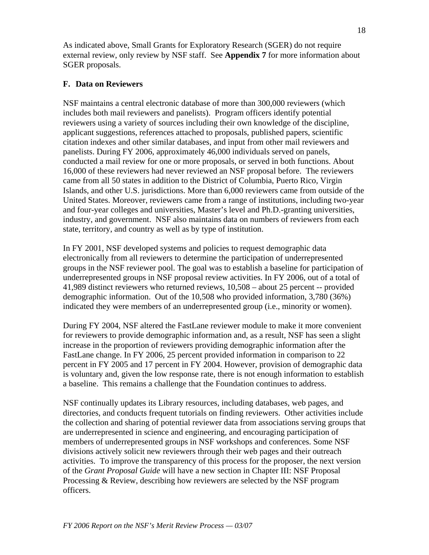As indicated above, Small Grants for Exploratory Research (SGER) do not require external review, only review by NSF staff. See **Appendix 7** for more information about SGER proposals.

#### **F. Data on Reviewers**

NSF maintains a central electronic database of more than 300,000 reviewers (which includes both mail reviewers and panelists). Program officers identify potential reviewers using a variety of sources including their own knowledge of the discipline, applicant suggestions, references attached to proposals, published papers, scientific citation indexes and other similar databases, and input from other mail reviewers and panelists. During FY 2006, approximately 46,000 individuals served on panels, conducted a mail review for one or more proposals, or served in both functions. About 16,000 of these reviewers had never reviewed an NSF proposal before. The reviewers came from all 50 states in addition to the District of Columbia, Puerto Rico, Virgin Islands, and other U.S. jurisdictions. More than 6,000 reviewers came from outside of the United States. Moreover, reviewers came from a range of institutions, including two-year and four-year colleges and universities, Master's level and Ph.D.-granting universities, industry, and government. NSF also maintains data on numbers of reviewers from each state, territory, and country as well as by type of institution.

In FY 2001, NSF developed systems and policies to request demographic data electronically from all reviewers to determine the participation of underrepresented groups in the NSF reviewer pool. The goal was to establish a baseline for participation of underrepresented groups in NSF proposal review activities. In FY 2006, out of a total of 41,989 distinct reviewers who returned reviews, 10,508 – about 25 percent -- provided demographic information. Out of the 10,508 who provided information, 3,780 (36%) indicated they were members of an underrepresented group (i.e., minority or women).

During FY 2004, NSF altered the FastLane reviewer module to make it more convenient for reviewers to provide demographic information and, as a result, NSF has seen a slight increase in the proportion of reviewers providing demographic information after the FastLane change. In FY 2006, 25 percent provided information in comparison to 22 percent in FY 2005 and 17 percent in FY 2004. However, provision of demographic data is voluntary and, given the low response rate, there is not enough information to establish a baseline. This remains a challenge that the Foundation continues to address.

NSF continually updates its Library resources, including databases, web pages, and directories, and conducts frequent tutorials on finding reviewers. Other activities include the collection and sharing of potential reviewer data from associations serving groups that are underrepresented in science and engineering, and encouraging participation of members of underrepresented groups in NSF workshops and conferences. Some NSF divisions actively solicit new reviewers through their web pages and their outreach activities. To improve the transparency of this process for the proposer, the next version of the *Grant Proposal Guide* will have a new section in Chapter III: NSF Proposal Processing & Review, describing how reviewers are selected by the NSF program officers.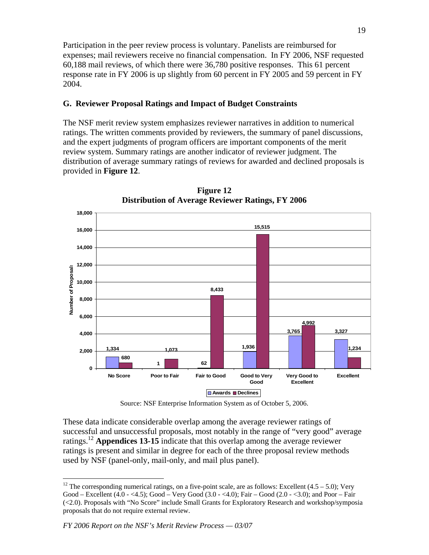Participation in the peer review process is voluntary. Panelists are reimbursed for expenses; mail reviewers receive no financial compensation. In FY 2006, NSF requested 60,188 mail reviews, of which there were 36,780 positive responses. This 61 percent response rate in FY 2006 is up slightly from 60 percent in FY 2005 and 59 percent in FY 2004.

#### **G. Reviewer Proposal Ratings and Impact of Budget Constraints**

The NSF merit review system emphasizes reviewer narratives in addition to numerical ratings. The written comments provided by reviewers, the summary of panel discussions, and the expert judgments of program officers are important components of the merit review system. Summary ratings are another indicator of reviewer judgment. The distribution of average summary ratings of reviews for awarded and declined proposals is provided in **Figure 12**.



**Figure 12 Distribution of Average Reviewer Ratings, FY 2006**

Source: NSF Enterprise Information System as of October 5, 2006.

These data indicate considerable overlap among the average reviewer ratings of successful and unsuccessful proposals, most notably in the range of "very good" average ratings.12 **Appendices 13-15** indicate that this overlap among the average reviewer ratings is present and similar in degree for each of the three proposal review methods used by NSF (panel-only, mail-only, and mail plus panel).

<sup>&</sup>lt;sup>12</sup> The corresponding numerical ratings, on a five-point scale, are as follows: Excellent  $(4.5 – 5.0)$ ; Very Good – Excellent  $(4.0 - 5.5)$ ; Good – Very Good  $(3.0 - 5.4)$ ; Fair – Good  $(2.0 - 5.3)$ ; and Poor – Fair (<2.0). Proposals with "No Score" include Small Grants for Exploratory Research and workshop/symposia proposals that do not require external review.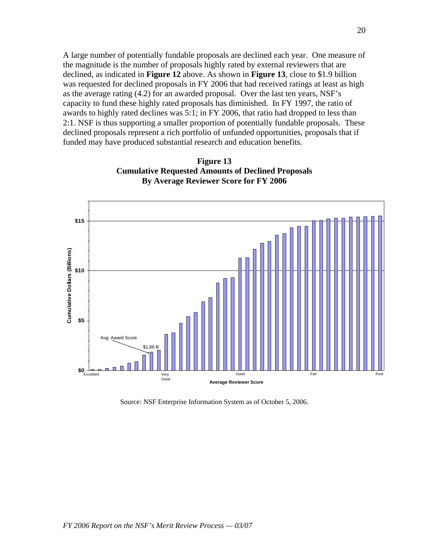A large number of potentially fundable proposals are declined each year. One measure of the magnitude is the number of proposals highly rated by external reviewers that are declined, as indicated in **Figure 12** above. As shown in **Figure 13**, close to \$1.9 billion was requested for declined proposals in FY 2006 that had received ratings at least as high as the average rating (4.2) for an awarded proposal. Over the last ten years, NSF's capacity to fund these highly rated proposals has diminished. In FY 1997, the ratio of awards to highly rated declines was 5:1; in FY 2006, that ratio had dropped to less than 2:1. NSF is thus supporting a smaller proportion of potentially fundable proposals. These declined proposals represent a rich portfolio of unfunded opportunities, proposals that if funded may have produced substantial research and education benefits.





Source: NSF Enterprise Information System as of October 5, 2006.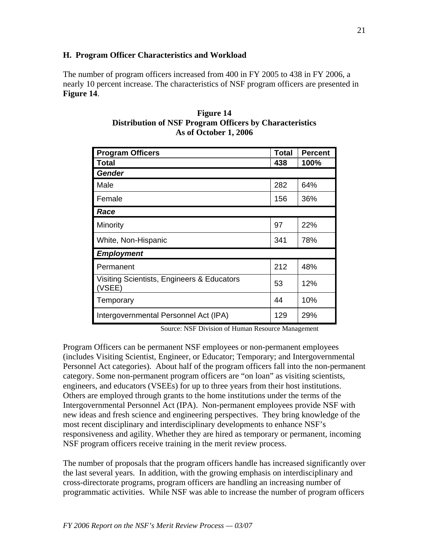#### **H. Program Officer Characteristics and Workload**

The number of program officers increased from 400 in FY 2005 to 438 in FY 2006, a nearly 10 percent increase. The characteristics of NSF program officers are presented in **Figure 14**.

| <b>Program Officers</b>                              | <b>Total</b> | <b>Percent</b> |
|------------------------------------------------------|--------------|----------------|
| Total                                                | 438          | 100%           |
| <b>Gender</b>                                        |              |                |
| Male                                                 | 282          | 64%            |
| Female                                               | 156          | 36%            |
| Race                                                 |              |                |
| Minority                                             | 97           | 22%            |
| White, Non-Hispanic                                  | 341          | 78%            |
| <b>Employment</b>                                    |              |                |
| Permanent                                            | 212          | 48%            |
| Visiting Scientists, Engineers & Educators<br>(VSEE) | 53           | 12%            |
| Temporary                                            | 44           | 10%            |
| Intergovernmental Personnel Act (IPA)                | 129          | 29%            |

#### **Figure 14 Distribution of NSF Program Officers by Characteristics As of October 1, 2006**

Source: NSF Division of Human Resource Management

Program Officers can be permanent NSF employees or non-permanent employees (includes Visiting Scientist, Engineer, or Educator; Temporary; and Intergovernmental Personnel Act categories). About half of the program officers fall into the non-permanent category. Some non-permanent program officers are "on loan" as visiting scientists, engineers, and educators (VSEEs) for up to three years from their host institutions. Others are employed through grants to the home institutions under the terms of the Intergovernmental Personnel Act (IPA). Non-permanent employees provide NSF with new ideas and fresh science and engineering perspectives. They bring knowledge of the most recent disciplinary and interdisciplinary developments to enhance NSF's responsiveness and agility. Whether they are hired as temporary or permanent, incoming NSF program officers receive training in the merit review process.

The number of proposals that the program officers handle has increased significantly over the last several years. In addition, with the growing emphasis on interdisciplinary and cross-directorate programs, program officers are handling an increasing number of programmatic activities. While NSF was able to increase the number of program officers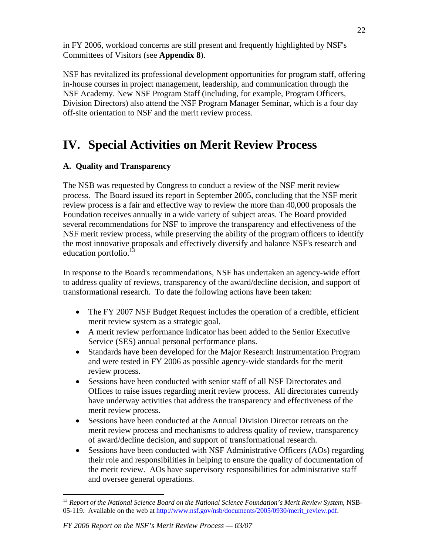in FY 2006, workload concerns are still present and frequently highlighted by NSF's Committees of Visitors (see **Appendix 8**).

NSF has revitalized its professional development opportunities for program staff, offering in-house courses in project management, leadership, and communication through the NSF Academy. New NSF Program Staff (including, for example, Program Officers, Division Directors) also attend the NSF Program Manager Seminar, which is a four day off-site orientation to NSF and the merit review process.

### **IV. Special Activities on Merit Review Process**

#### **A. Quality and Transparency**

The NSB was requested by Congress to conduct a review of the NSF merit review process. The Board issued its report in September 2005, concluding that the NSF merit review process is a fair and effective way to review the more than 40,000 proposals the Foundation receives annually in a wide variety of subject areas. The Board provided several recommendations for NSF to improve the transparency and effectiveness of the NSF merit review process, while preserving the ability of the program officers to identify the most innovative proposals and effectively diversify and balance NSF's research and education portfolio.<sup>13</sup>

In response to the Board's recommendations, NSF has undertaken an agency-wide effort to address quality of reviews, transparency of the award/decline decision, and support of transformational research. To date the following actions have been taken:

- The FY 2007 NSF Budget Request includes the operation of a credible, efficient merit review system as a strategic goal.
- A merit review performance indicator has been added to the Senior Executive Service (SES) annual personal performance plans.
- Standards have been developed for the Major Research Instrumentation Program and were tested in FY 2006 as possible agency-wide standards for the merit review process.
- Sessions have been conducted with senior staff of all NSF Directorates and Offices to raise issues regarding merit review process. All directorates currently have underway activities that address the transparency and effectiveness of the merit review process.
- Sessions have been conducted at the Annual Division Director retreats on the merit review process and mechanisms to address quality of review, transparency of award/decline decision, and support of transformational research.
- Sessions have been conducted with NSF Administrative Officers (AOs) regarding their role and responsibilities in helping to ensure the quality of documentation of the merit review. AOs have supervisory responsibilities for administrative staff and oversee general operations.

<sup>13</sup>*Report of the National Science Board on the National Science Foundation's Merit Review System*, NSB-05-119. Available on the web at http://www.nsf.gov/nsb/documents/2005/0930/merit\_review.pdf.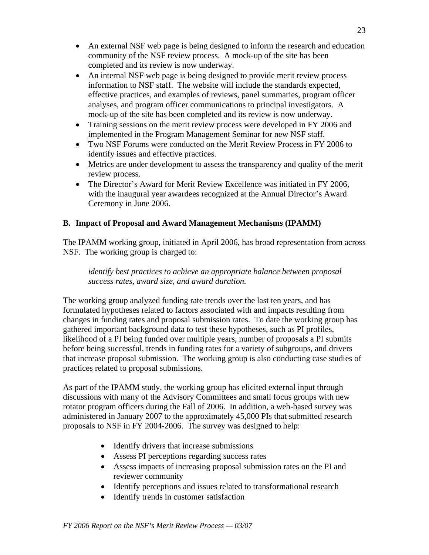- An external NSF web page is being designed to inform the research and education community of the NSF review process. A mock-up of the site has been completed and its review is now underway.
- An internal NSF web page is being designed to provide merit review process information to NSF staff. The website will include the standards expected, effective practices, and examples of reviews, panel summaries, program officer analyses, and program officer communications to principal investigators. A mock-up of the site has been completed and its review is now underway.
- Training sessions on the merit review process were developed in FY 2006 and implemented in the Program Management Seminar for new NSF staff.
- Two NSF Forums were conducted on the Merit Review Process in FY 2006 to identify issues and effective practices.
- Metrics are under development to assess the transparency and quality of the merit review process.
- The Director's Award for Merit Review Excellence was initiated in FY 2006, with the inaugural year awardees recognized at the Annual Director's Award Ceremony in June 2006.

#### **B. Impact of Proposal and Award Management Mechanisms (IPAMM)**

The IPAMM working group, initiated in April 2006, has broad representation from across NSF. The working group is charged to:

*identify best practices to achieve an appropriate balance between proposal success rates, award size, and award duration.* 

The working group analyzed funding rate trends over the last ten years, and has formulated hypotheses related to factors associated with and impacts resulting from changes in funding rates and proposal submission rates. To date the working group has gathered important background data to test these hypotheses, such as PI profiles, likelihood of a PI being funded over multiple years, number of proposals a PI submits before being successful, trends in funding rates for a variety of subgroups, and drivers that increase proposal submission. The working group is also conducting case studies of practices related to proposal submissions.

As part of the IPAMM study, the working group has elicited external input through discussions with many of the Advisory Committees and small focus groups with new rotator program officers during the Fall of 2006. In addition, a web-based survey was administered in January 2007 to the approximately 45,000 PIs that submitted research proposals to NSF in FY 2004-2006. The survey was designed to help:

- Identify drivers that increase submissions
- Assess PI perceptions regarding success rates
- Assess impacts of increasing proposal submission rates on the PI and reviewer community
- Identify perceptions and issues related to transformational research
- Identify trends in customer satisfaction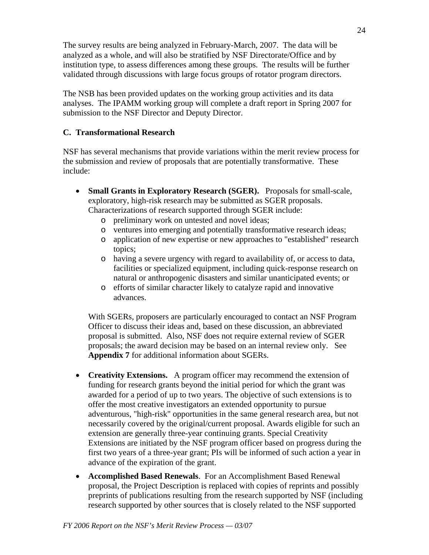The survey results are being analyzed in February-March, 2007. The data will be analyzed as a whole, and will also be stratified by NSF Directorate/Office and by institution type, to assess differences among these groups. The results will be further validated through discussions with large focus groups of rotator program directors.

The NSB has been provided updates on the working group activities and its data analyses. The IPAMM working group will complete a draft report in Spring 2007 for submission to the NSF Director and Deputy Director.

#### **C. Transformational Research**

NSF has several mechanisms that provide variations within the merit review process for the submission and review of proposals that are potentially transformative. These include:

- **Small Grants in Exploratory Research (SGER).** Proposals for small-scale, exploratory, high-risk research may be submitted as SGER proposals. Characterizations of research supported through SGER include:
	- o preliminary work on untested and novel ideas;
	- o ventures into emerging and potentially transformative research ideas;
	- o application of new expertise or new approaches to "established" research topics;
	- o having a severe urgency with regard to availability of, or access to data, facilities or specialized equipment, including quick-response research on natural or anthropogenic disasters and similar unanticipated events; or
	- o efforts of similar character likely to catalyze rapid and innovative advances.

With SGERs, proposers are particularly encouraged to contact an NSF Program Officer to discuss their ideas and, based on these discussion, an abbreviated proposal is submitted. Also, NSF does not require external review of SGER proposals; the award decision may be based on an internal review only. See **Appendix 7** for additional information about SGERs.

- **Creativity Extensions.** A program officer may recommend the extension of funding for research grants beyond the initial period for which the grant was awarded for a period of up to two years. The objective of such extensions is to offer the most creative investigators an extended opportunity to pursue adventurous, "high-risk" opportunities in the same general research area, but not necessarily covered by the original/current proposal. Awards eligible for such an extension are generally three-year continuing grants. Special Creativity Extensions are initiated by the NSF program officer based on progress during the first two years of a three-year grant; PIs will be informed of such action a year in advance of the expiration of the grant.
- **Accomplished Based Renewals**. For an Accomplishment Based Renewal proposal, the Project Description is replaced with copies of reprints and possibly preprints of publications resulting from the research supported by NSF (including research supported by other sources that is closely related to the NSF supported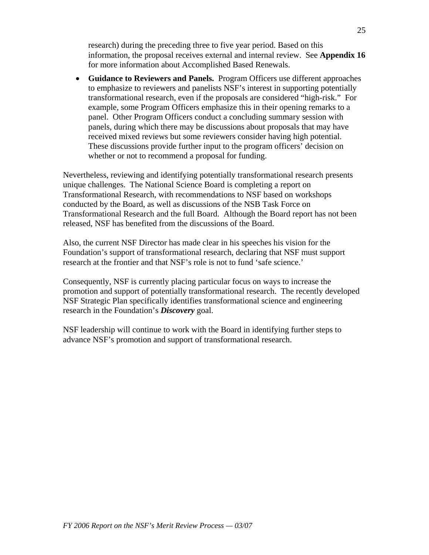research) during the preceding three to five year period. Based on this information, the proposal receives external and internal review. See **Appendix 16**  for more information about Accomplished Based Renewals.

• **Guidance to Reviewers and Panels.** Program Officers use different approaches to emphasize to reviewers and panelists NSF's interest in supporting potentially transformational research, even if the proposals are considered "high-risk." For example, some Program Officers emphasize this in their opening remarks to a panel. Other Program Officers conduct a concluding summary session with panels, during which there may be discussions about proposals that may have received mixed reviews but some reviewers consider having high potential. These discussions provide further input to the program officers' decision on whether or not to recommend a proposal for funding.

Nevertheless, reviewing and identifying potentially transformational research presents unique challenges. The National Science Board is completing a report on Transformational Research, with recommendations to NSF based on workshops conducted by the Board, as well as discussions of the NSB Task Force on Transformational Research and the full Board. Although the Board report has not been released, NSF has benefited from the discussions of the Board.

Also, the current NSF Director has made clear in his speeches his vision for the Foundation's support of transformational research, declaring that NSF must support research at the frontier and that NSF's role is not to fund 'safe science.'

Consequently, NSF is currently placing particular focus on ways to increase the promotion and support of potentially transformational research. The recently developed NSF Strategic Plan specifically identifies transformational science and engineering research in the Foundation's *Discovery* goal.

NSF leadership will continue to work with the Board in identifying further steps to advance NSF's promotion and support of transformational research.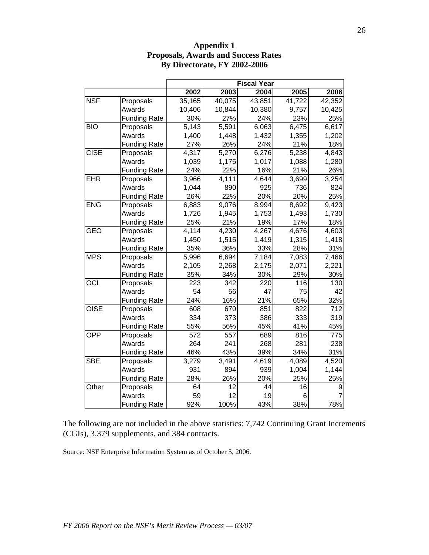|                  |                     | <b>Fiscal Year</b> |                  |        |                     |                  |  |
|------------------|---------------------|--------------------|------------------|--------|---------------------|------------------|--|
|                  |                     | 2002               | 2003             | 2004   | 2005                | 2006             |  |
| <b>NSF</b>       | Proposals           | 35,165             | 40,075           | 43,851 | 41,722              | 42,352           |  |
|                  | Awards              | 10,406             | 10,844           | 10,380 | 9,757               | 10,425           |  |
|                  | <b>Funding Rate</b> | 30%                | 27%              | 24%    | 23%                 | 25%              |  |
| <b>BIO</b>       | Proposals           | 5,143              | 5,591            | 6,063  | 6,475               | 6,617            |  |
|                  | Awards              | 1,400              | 1,448            | 1,432  | 1,355               | 1,202            |  |
|                  | <b>Funding Rate</b> | 27%                | 26%              | 24%    | 21%                 | 18%              |  |
| <b>CISE</b>      | Proposals           | 4,317              | 5,270            | 6,276  | $\overline{5}$ ,238 | 4,843            |  |
|                  | Awards              | 1,039              | 1,175            | 1,017  | 1,088               | 1,280            |  |
|                  | <b>Funding Rate</b> | 24%                | 22%              | 16%    | 21%                 | 26%              |  |
| EHR              | Proposals           | 3,966              | 4,111            | 4,644  | 3,699               | 3,254            |  |
|                  | Awards              | 1,044              | 890              | 925    | 736                 | 824              |  |
|                  | <b>Funding Rate</b> | 26%                | 22%              | 20%    | 20%                 | 25%              |  |
| <b>ENG</b>       | Proposals           | 6,883              | 9,076            | 8,994  | 8,692               | 9,423            |  |
|                  | Awards              | 1,726              | 1,945            | 1,753  | 1,493               | 1,730            |  |
|                  | <b>Funding Rate</b> | 25%                | 21%              | 19%    | 17%                 | 18%              |  |
| <b>GEO</b>       | Proposals           | 4,114              | 4,230            | 4,267  | 4,676               | 4,603            |  |
|                  | Awards              | 1,450              | 1,515            | 1,419  | 1,315               | 1,418            |  |
|                  | <b>Funding Rate</b> | 35%                | 36%              | 33%    | 28%                 | 31%              |  |
| <b>MPS</b>       | Proposals           | 5,996              | 6,694            | 7,184  | 7,083               | 7,466            |  |
|                  | Awards              | 2,105              | 2,268            | 2,175  | 2,071               | 2,221            |  |
|                  | <b>Funding Rate</b> | 35%                | 34%              | 30%    | 29%                 | 30%              |  |
| $\overline{OCI}$ | Proposals           | 223                | 342              | 220    | $\overline{116}$    | 130              |  |
|                  | Awards              | 54                 | 56               | 47     | 75                  | 42               |  |
|                  | <b>Funding Rate</b> | 24%                | 16%              | 21%    | 65%                 | 32%              |  |
| OISE             | Proposals           | 608                | 670              | 851    | 822                 | $\overline{712}$ |  |
|                  | Awards              | 334                | 373              | 386    | 333                 | 319              |  |
|                  | <b>Funding Rate</b> | 55%                | 56%              | 45%    | 41%                 | 45%              |  |
| OPP              | Proposals           | 572                | $\overline{557}$ | 689    | 816                 | 775              |  |
|                  | Awards              | 264                | 241              | 268    | 281                 | 238              |  |
|                  | <b>Funding Rate</b> | 46%                | 43%              | 39%    | 34%                 | 31%              |  |
| <b>SBE</b>       | Proposals           | 3,279              | 3,491            | 4,619  | 4,089               | 4,520            |  |
|                  | Awards              | 931                | 894              | 939    | 1,004               | 1,144            |  |
|                  | <b>Funding Rate</b> | 28%                | 26%              | 20%    | 25%                 | 25%              |  |
| Other            | Proposals           | 64                 | 12               | 44     | 16                  | 9                |  |
|                  | Awards              | 59                 | 12               | 19     | 6                   |                  |  |
|                  | <b>Funding Rate</b> | 92%                | 100%             | 43%    | 38%                 | 78%              |  |

**Appendix 1 Proposals, Awards and Success Rates By Directorate, FY 2002-2006** 

The following are not included in the above statistics: 7,742 Continuing Grant Increments (CGIs), 3,379 supplements, and 384 contracts.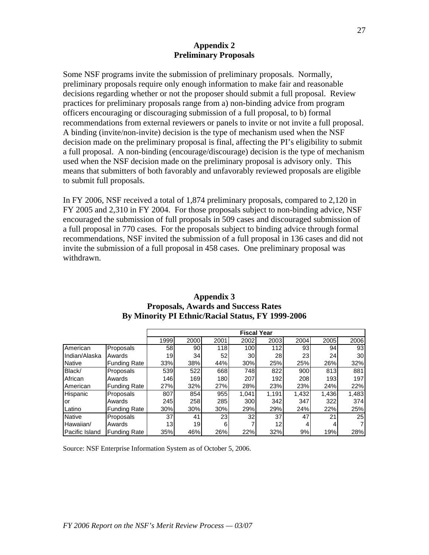#### **Appendix 2 Preliminary Proposals**

Some NSF programs invite the submission of preliminary proposals. Normally, preliminary proposals require only enough information to make fair and reasonable decisions regarding whether or not the proposer should submit a full proposal. Review practices for preliminary proposals range from a) non-binding advice from program officers encouraging or discouraging submission of a full proposal, to b) formal recommendations from external reviewers or panels to invite or not invite a full proposal. A binding (invite/non-invite) decision is the type of mechanism used when the NSF decision made on the preliminary proposal is final, affecting the PI's eligibility to submit a full proposal. A non-binding (encourage/discourage) decision is the type of mechanism used when the NSF decision made on the preliminary proposal is advisory only. This means that submitters of both favorably and unfavorably reviewed proposals are eligible to submit full proposals.

In FY 2006, NSF received a total of 1,874 preliminary proposals, compared to 2,120 in FY 2005 and 2,310 in FY 2004. For those proposals subject to non-binding advice, NSF encouraged the submission of full proposals in 509 cases and discouraged submission of a full proposal in 770 cases. For the proposals subject to binding advice through formal recommendations, NSF invited the submission of a full proposal in 136 cases and did not invite the submission of a full proposal in 458 cases. One preliminary proposal was withdrawn.

|                |                     |      |                 |                 |       | <b>Fiscal Year</b> |       |       |       |
|----------------|---------------------|------|-----------------|-----------------|-------|--------------------|-------|-------|-------|
|                |                     | 1999 | 2000            | 2001            | 2002  | 2003               | 2004  | 2005  | 2006  |
| American       | Proposals           | 58   | 90 <sub>l</sub> | 118             | 100   | 112                | 93    | 94    | 93    |
| Indian/Alaska  | Awards              | 19   | 34              | 52 <sub>l</sub> | 30    | 28 I               | 23    | 24    | 30    |
| <b>Native</b>  | <b>Funding Rate</b> | 33%  | 38%             | 44%             | 30%   | 25%                | 25%   | 26%   | 32%   |
| Black/         | Proposals           | 539  | 522             | 668             | 748   | 822                | 900   | 813   | 881   |
| African        | Awards              | 146  | 169             | 180             | 207   | 192                | 208   | 193   | 197   |
| American       | <b>Funding Rate</b> | 27%  | 32%             | 27%             | 28%   | 23%                | 23%   | 24%   | 22%   |
| Hispanic       | Proposals           | 807  | 854             | 955             | 1,041 | 1,191              | 1,432 | 1,436 | 1,483 |
| lor            | Awards              | 245  | 258             | 285             | 300   | 342                | 347   | 322   | 374   |
| Latino         | <b>Funding Rate</b> | 30%  | 30%             | 30%             | 29%   | 29%                | 24%   | 22%   | 25%   |
| <b>Native</b>  | Proposals           | 37   | 41              | 23 <sub>l</sub> | 32    | 37                 | 47    | 21    | 25    |
| Hawaiian/      | Awards              | 13   | 19              | 6               |       | 12 <sub>l</sub>    |       |       |       |
| Pacific Island | <b>Funding Rate</b> | 35%  | 46%             | 26%             | 22%   | 32%                | 9%    | 19%   | 28%   |

#### **Appendix 3 Proposals, Awards and Success Rates By Minority PI Ethnic/Racial Status, FY 1999-2006**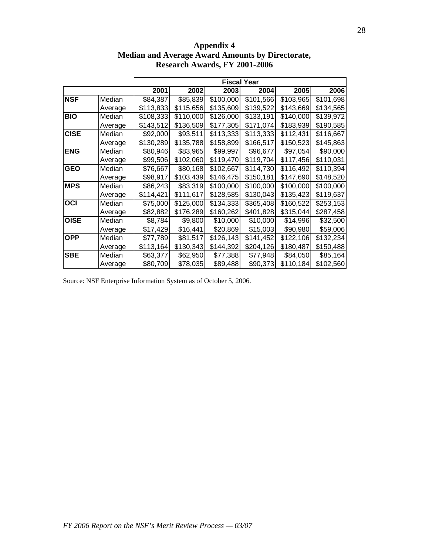|             |         |           |           | <b>Fiscal Year</b> |           |           |           |
|-------------|---------|-----------|-----------|--------------------|-----------|-----------|-----------|
|             |         | 2001      | 2002      | 2003               | 2004      | 2005      | 2006      |
| <b>NSF</b>  | Median  | \$84,387  | \$85,839  | \$100,000          | \$101,566 | \$103,965 | \$101,698 |
|             | Average | \$113,833 | \$115,656 | \$135,609          | \$139,522 | \$143,669 | \$134,565 |
| <b>BIO</b>  | Median  | \$108,333 | \$110,000 | \$126,000          | \$133,191 | \$140,000 | \$139,972 |
|             | Average | \$143,512 | \$136,509 | \$177,305          | \$171,074 | \$183,939 | \$190,585 |
| <b>CISE</b> | Median  | \$92,000  | \$93,511  | \$113,333          | \$113,333 | \$112,431 | \$116,667 |
|             | Average | \$130,289 | \$135,788 | \$158,899          | \$166,517 | \$150,523 | \$145,863 |
| <b>ENG</b>  | Median  | \$80,946  | \$83,965  | \$99,997           | \$96,677  | \$97,054  | \$90,000  |
|             | Average | \$99,506  | \$102,060 | \$119,470          | \$119,704 | \$117,456 | \$110,031 |
| <b>GEO</b>  | Median  | \$76,667  | \$80,168  | \$102,667          | \$114,730 | \$116,492 | \$110,394 |
|             | Average | \$98,917  | \$103,439 | \$146,475          | \$150,181 | \$147,690 | \$148,520 |
| <b>MPS</b>  | Median  | \$86,243  | \$83,319  | \$100,000          | \$100,000 | \$100,000 | \$100,000 |
|             | Average | \$114,421 | \$111,617 | \$128,585          | \$130,043 | \$135,423 | \$119,637 |
| OCI         | Median  | \$75,000  | \$125,000 | \$134,333          | \$365,408 | \$160,522 | \$253,153 |
|             | Average | \$82,882  | \$176,289 | \$160,262          | \$401,828 | \$315,044 | \$287,458 |
| <b>OISE</b> | Median  | \$8,784   | \$9,800   | \$10,000           | \$10,000  | \$14,996  | \$32,500  |
|             | Average | \$17,429  | \$16,441  | \$20,869           | \$15,003  | \$90,980  | \$59,006  |
| <b>OPP</b>  | Median  | \$77,789  | \$81,517  | \$126,143          | \$141,452 | \$122,106 | \$132,234 |
|             | Average | \$113,164 | \$130,343 | \$144,392          | \$204,126 | \$180,487 | \$150,488 |
| <b>SBE</b>  | Median  | \$63,377  | \$62,950  | \$77,388           | \$77,948  | \$84,050  | \$85,164  |
|             | Average | \$80,709  | \$78,035  | \$89,488           | \$90,373  | \$110,184 | \$102,560 |

**Appendix 4 Median and Average Award Amounts by Directorate, Research Awards, FY 2001-2006**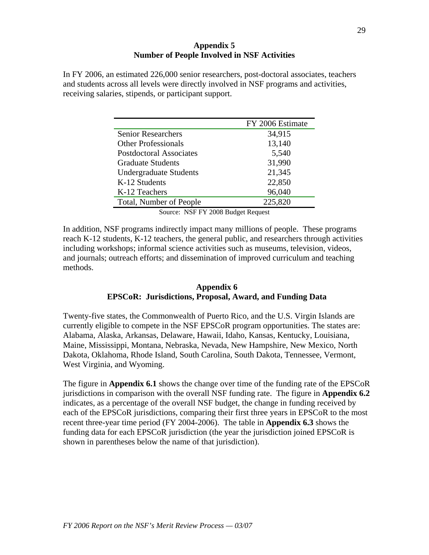#### **Appendix 5 Number of People Involved in NSF Activities**

In FY 2006, an estimated 226,000 senior researchers, post-doctoral associates, teachers and students across all levels were directly involved in NSF programs and activities, receiving salaries, stipends, or participant support.

|                                | FY 2006 Estimate |
|--------------------------------|------------------|
| <b>Senior Researchers</b>      | 34,915           |
| <b>Other Professionals</b>     | 13,140           |
| <b>Postdoctoral Associates</b> | 5,540            |
| <b>Graduate Students</b>       | 31,990           |
| <b>Undergraduate Students</b>  | 21,345           |
| K-12 Students                  | 22,850           |
| K-12 Teachers                  | 96,040           |
| Total, Number of People        | 225,820          |

Source: NSF FY 2008 Budget Request

In addition, NSF programs indirectly impact many millions of people. These programs reach K-12 students, K-12 teachers, the general public, and researchers through activities including workshops; informal science activities such as museums, television, videos, and journals; outreach efforts; and dissemination of improved curriculum and teaching methods.

#### **Appendix 6 EPSCoR: Jurisdictions, Proposal, Award, and Funding Data**

Twenty-five states, the Commonwealth of Puerto Rico, and the U.S. Virgin Islands are currently eligible to compete in the NSF EPSCoR program opportunities. The states are: Alabama, Alaska, Arkansas, Delaware, Hawaii, Idaho, Kansas, Kentucky, Louisiana, Maine, Mississippi, Montana, Nebraska, Nevada, New Hampshire, New Mexico, North Dakota, Oklahoma, Rhode Island, South Carolina, South Dakota, Tennessee, Vermont, West Virginia, and Wyoming.

The figure in **Appendix 6.1** shows the change over time of the funding rate of the EPSCoR jurisdictions in comparison with the overall NSF funding rate. The figure in **Appendix 6.2**  indicates, as a percentage of the overall NSF budget, the change in funding received by each of the EPSCoR jurisdictions, comparing their first three years in EPSCoR to the most recent three-year time period (FY 2004-2006). The table in **Appendix 6.3** shows the funding data for each EPSCoR jurisdiction (the year the jurisdiction joined EPSCoR is shown in parentheses below the name of that jurisdiction).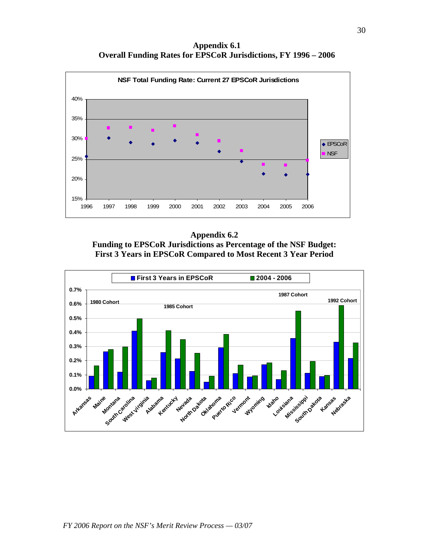**Appendix 6.1 Overall Funding Rates for EPSCoR Jurisdictions, FY 1996 – 2006** 



#### **Appendix 6.2**

**Funding to EPSCoR Jurisdictions as Percentage of the NSF Budget: First 3 Years in EPSCoR Compared to Most Recent 3 Year Period** 

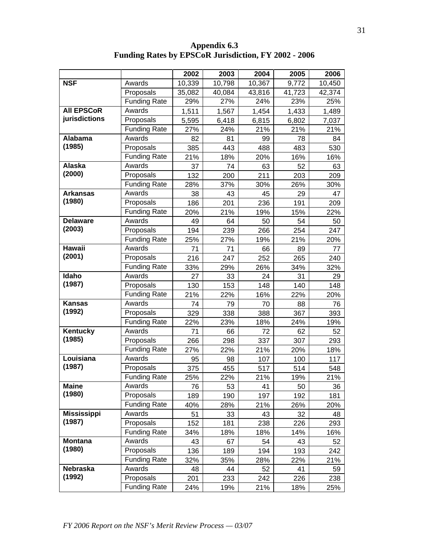|                    |                     | 2002   | 2003   | 2004   | 2005   | 2006   |
|--------------------|---------------------|--------|--------|--------|--------|--------|
| <b>NSF</b>         | Awards              | 10,339 | 10,798 | 10,367 | 9,772  | 10,450 |
|                    | Proposals           | 35,082 | 40,084 | 43,816 | 41,723 | 42,374 |
|                    | <b>Funding Rate</b> | 29%    | 27%    | 24%    | 23%    | 25%    |
| <b>AII EPSCoR</b>  | Awards              | 1,511  | 1,567  | 1,454  | 1,433  | 1,489  |
| jurisdictions      | Proposals           | 5,595  | 6,418  | 6,815  | 6,802  | 7,037  |
|                    | Funding Rate        | 27%    | 24%    | 21%    | 21%    | 21%    |
| Alabama            | Awards              | 82     | 81     | 99     | 78     | 84     |
| (1985)             | Proposals           | 385    | 443    | 488    | 483    | 530    |
|                    | <b>Funding Rate</b> | 21%    | 18%    | 20%    | 16%    | 16%    |
| <b>Alaska</b>      | Awards              | 37     | 74     | 63     | 52     | 63     |
| (2000)             | Proposals           | 132    | 200    | 211    | 203    | 209    |
|                    | <b>Funding Rate</b> | 28%    | 37%    | 30%    | 26%    | 30%    |
| <b>Arkansas</b>    | Awards              | 38     | 43     | 45     | 29     | 47     |
| (1980)             | Proposals           | 186    | 201    | 236    | 191    | 209    |
|                    | <b>Funding Rate</b> | 20%    | 21%    | 19%    | 15%    | 22%    |
| <b>Delaware</b>    | Awards              | 49     | 64     | 50     | 54     | 50     |
| (2003)             | Proposals           | 194    | 239    | 266    | 254    | 247    |
|                    | <b>Funding Rate</b> | 25%    | 27%    | 19%    | 21%    | 20%    |
| <b>Hawaii</b>      | Awards              | 71     | 71     | 66     | 89     | 77     |
| (2001)             | Proposals           | 216    | 247    | 252    | 265    | 240    |
|                    | <b>Funding Rate</b> | 33%    | 29%    | 26%    | 34%    | 32%    |
| Idaho              | Awards              | 27     | 33     | 24     | 31     | 29     |
| (1987)             | Proposals           | 130    | 153    | 148    | 140    | 148    |
|                    | <b>Funding Rate</b> | 21%    | 22%    | 16%    | 22%    | 20%    |
| <b>Kansas</b>      | Awards              | 74     | 79     | 70     | 88     | 76     |
| (1992)             | Proposals           | 329    | 338    | 388    | 367    | 393    |
|                    | <b>Funding Rate</b> | 22%    | 23%    | 18%    | 24%    | 19%    |
| Kentucky           | Awards              | 71     | 66     | 72     | 62     | 52     |
| (1985)             | Proposals           | 266    | 298    | 337    | 307    | 293    |
|                    | <b>Funding Rate</b> | 27%    | 22%    | 21%    | 20%    | 18%    |
| Louisiana          | Awards              | 95     | 98     | 107    | 100    | 117    |
| (1987)             | Proposals           | 375    | 455    | 517    | 514    | 548    |
|                    | <b>Funding Rate</b> | 25%    | 22%    | 21%    | 19%    | 21%    |
| <b>Maine</b>       | Awards              | 76     | 53     | 41     | 50     | 36     |
| (1980)             | Proposals           | 189    | 190    | 197    | 192    | 181    |
|                    | <b>Funding Rate</b> | 40%    | 28%    | 21%    | 26%    | 20%    |
| <b>Mississippi</b> | Awards              | 51     | 33     | 43     | 32     | 48     |
| (1987)             | Proposals           | 152    | 181    | 238    | 226    | 293    |
|                    | <b>Funding Rate</b> | 34%    | 18%    | 18%    | 14%    | 16%    |
| <b>Montana</b>     | Awards              | 43     | 67     | 54     | 43     | 52     |
| (1980)             | Proposals           | 136    | 189    | 194    | 193    | 242    |
|                    | <b>Funding Rate</b> | 32%    | 35%    | 28%    | 22%    | 21%    |
| Nebraska           | Awards              | 48     | 44     | 52     | 41     | 59     |
| (1992)             | Proposals           | 201    | 233    | 242    | 226    | 238    |
|                    | <b>Funding Rate</b> | 24%    | 19%    | 21%    | 18%    | 25%    |

**Appendix 6.3 Funding Rates by EPSCoR Jurisdiction, FY 2002 - 2006**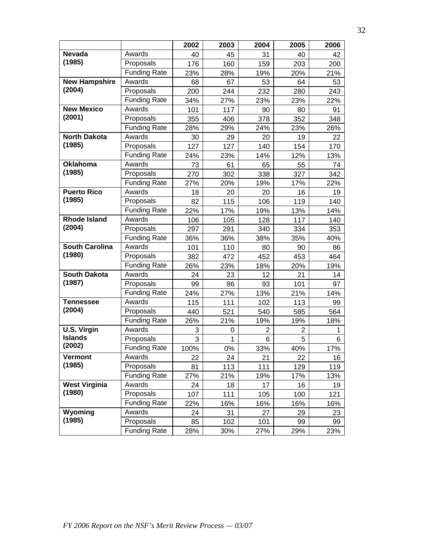|                       |                     | 2002 | 2003 | 2004 | 2005 | 2006 |
|-----------------------|---------------------|------|------|------|------|------|
| <b>Nevada</b>         | Awards              | 40   | 45   | 31   | 40   | 42   |
| (1985)                | Proposals           | 176  | 160  | 159  | 203  | 200  |
|                       | <b>Funding Rate</b> | 23%  | 28%  | 19%  | 20%  | 21%  |
| <b>New Hampshire</b>  | Awards              | 68   | 67   | 53   | 64   | 53   |
| (2004)                | Proposals           | 200  | 244  | 232  | 280  | 243  |
|                       | <b>Funding Rate</b> | 34%  | 27%  | 23%  | 23%  | 22%  |
| <b>New Mexico</b>     | Awards              | 101  | 117  | 90   | 80   | 91   |
| (2001)                | Proposals           | 355  | 406  | 378  | 352  | 348  |
|                       | <b>Funding Rate</b> | 28%  | 29%  | 24%  | 23%  | 26%  |
| <b>North Dakota</b>   | Awards              | 30   | 29   | 20   | 19   | 22   |
| (1985)                | Proposals           | 127  | 127  | 140  | 154  | 170  |
|                       | <b>Funding Rate</b> | 24%  | 23%  | 14%  | 12%  | 13%  |
| <b>Oklahoma</b>       | Awards              | 73   | 61   | 65   | 55   | 74   |
| (1985)                | Proposals           | 270  | 302  | 338  | 327  | 342  |
|                       | <b>Funding Rate</b> | 27%  | 20%  | 19%  | 17%  | 22%  |
| <b>Puerto Rico</b>    | Awards              | 18   | 20   | 20   | 16   | 19   |
| (1985)                | Proposals           | 82   | 115  | 106  | 119  | 140  |
|                       | <b>Funding Rate</b> | 22%  | 17%  | 19%  | 13%  | 14%  |
| <b>Rhode Island</b>   | Awards              | 106  | 105  | 128  | 117  | 140  |
| (2004)                | Proposals           | 297  | 291  | 340  | 334  | 353  |
|                       | <b>Funding Rate</b> | 36%  | 36%  | 38%  | 35%  | 40%  |
| <b>South Carolina</b> | Awards              | 101  | 110  | 80   | 90   | 86   |
| (1980)                | Proposals           | 382  | 472  | 452  | 453  | 464  |
|                       | <b>Funding Rate</b> | 26%  | 23%  | 18%  | 20%  | 19%  |
| <b>South Dakota</b>   | Awards              | 24   | 23   | 12   | 21   | 14   |
| (1987)                | Proposals           | 99   | 86   | 93   | 101  | 97   |
|                       | <b>Funding Rate</b> | 24%  | 27%  | 13%  | 21%  | 14%  |
| <b>Tennessee</b>      | Awards              | 115  | 111  | 102  | 113  | 99   |
| (2004)                | Proposals           | 440  | 521  | 540  | 585  | 564  |
|                       | <b>Funding Rate</b> | 26%  | 21%  | 19%  | 19%  | 18%  |
| <b>U.S. Virgin</b>    | Awards              | 3    | 0    | 2    | 2    | 1    |
| <b>Islands</b>        | Proposals           | 3    | 1    | 6    | 5    | 6    |
| (2002)                | <b>Funding Rate</b> | 100% | 0%   | 33%  | 40%  | 17%  |
| Vermont               | Awards              | 22   | 24   | 21   | 22   | 16   |
| (1985)                | Proposals           | 81   | 113  | 111  | 129  | 119  |
|                       | <b>Funding Rate</b> | 27%  | 21%  | 19%  | 17%  | 13%  |
| <b>West Virginia</b>  | Awards              | 24   | 18   | 17   | 16   | 19   |
| (1980)                | Proposals           | 107  | 111  | 105  | 100  | 121  |
|                       | <b>Funding Rate</b> | 22%  | 16%  | 16%  | 16%  | 16%  |
| Wyoming               | Awards              | 24   | 31   | 27   | 29   | 23   |
| (1985)                | Proposals           | 85   | 102  | 101  | 99   | 99   |
|                       | Funding Rate        | 28%  | 30%  | 27%  | 29%  | 23%  |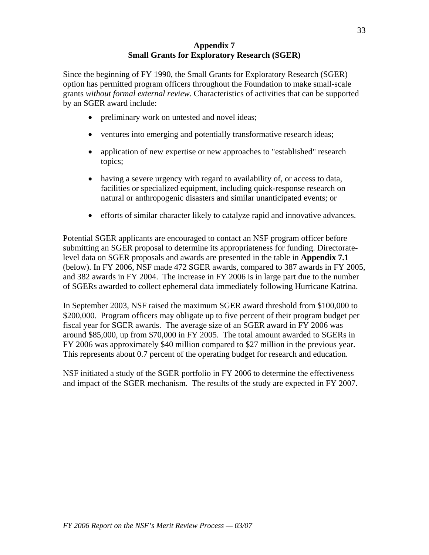#### **Appendix 7 Small Grants for Exploratory Research (SGER)**

Since the beginning of FY 1990, the Small Grants for Exploratory Research (SGER) option has permitted program officers throughout the Foundation to make small-scale grants *without formal external review*. Characteristics of activities that can be supported by an SGER award include:

- preliminary work on untested and novel ideas;
- ventures into emerging and potentially transformative research ideas;
- application of new expertise or new approaches to "established" research topics;
- having a severe urgency with regard to availability of, or access to data, facilities or specialized equipment, including quick-response research on natural or anthropogenic disasters and similar unanticipated events; or
- efforts of similar character likely to catalyze rapid and innovative advances.

Potential SGER applicants are encouraged to contact an NSF program officer before submitting an SGER proposal to determine its appropriateness for funding. Directoratelevel data on SGER proposals and awards are presented in the table in **Appendix 7.1**  (below). In FY 2006, NSF made 472 SGER awards, compared to 387 awards in FY 2005, and 382 awards in FY 2004. The increase in FY 2006 is in large part due to the number of SGERs awarded to collect ephemeral data immediately following Hurricane Katrina.

In September 2003, NSF raised the maximum SGER award threshold from \$100,000 to \$200,000. Program officers may obligate up to five percent of their program budget per fiscal year for SGER awards. The average size of an SGER award in FY 2006 was around \$85,000, up from \$70,000 in FY 2005. The total amount awarded to SGERs in FY 2006 was approximately \$40 million compared to \$27 million in the previous year. This represents about 0.7 percent of the operating budget for research and education.

NSF initiated a study of the SGER portfolio in FY 2006 to determine the effectiveness and impact of the SGER mechanism. The results of the study are expected in FY 2007.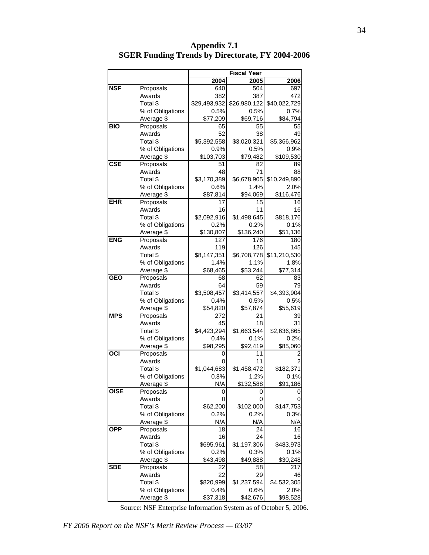|             |                  | <b>Fiscal Year</b> |              |                 |  |  |
|-------------|------------------|--------------------|--------------|-----------------|--|--|
|             |                  | 2004               | 2005         | 2006            |  |  |
| NSF         | Proposals        | 640                | 504          | 697             |  |  |
|             | Awards           | 382                | 387          | 472             |  |  |
|             | Total \$         | \$29,493,932       | \$26,980,122 | \$40,022,729    |  |  |
|             | % of Obligations | 0.5%               | 0.5%         | 0.7%            |  |  |
|             | Average \$       | \$77,209           | \$69,716     | \$84,794        |  |  |
| <b>BIO</b>  | Proposals        | 65                 | 55           | 55              |  |  |
|             | Awards           | 52                 | 38           | 49              |  |  |
|             | Total \$         | \$5,392,558        | \$3,020,321  | \$5,366,962     |  |  |
|             | % of Obligations | 0.9%               | 0.5%         | 0.9%            |  |  |
|             | Average \$       | \$103,703          | \$79,482     | \$109,530       |  |  |
| <b>CSE</b>  | Proposals        | 51                 | 82           | 89              |  |  |
|             | Awards           | 48                 | 71           | 88              |  |  |
|             | Total \$         | \$3,170,389        | \$6,678,905  | \$10,249,890    |  |  |
|             | % of Obligations | 0.6%               | 1.4%         | 2.0%            |  |  |
|             | Average \$       | \$87,814           | \$94,069     | \$116,476       |  |  |
| <b>EHR</b>  | Proposals        | 17                 | 15           | 16              |  |  |
|             | Awards           | 16                 | 11           | 16              |  |  |
|             | Total \$         | \$2,092,916        | \$1,498,645  | \$818,176       |  |  |
|             | % of Obligations | 0.2%               | 0.2%         | 0.1%            |  |  |
|             | Average \$       | \$130,807          | \$136,240    | \$51,136        |  |  |
| <b>ENG</b>  | Proposals        | 127                | 176          | 180             |  |  |
|             | Awards           | 119                | 126          | 145             |  |  |
|             | Total \$         | \$8,147,351        | \$6,708,778  | \$11,210,530    |  |  |
|             | % of Obligations | 1.4%               | 1.1%         | 1.8%            |  |  |
|             | Average \$       | \$68,465           | \$53,244     | \$77,314        |  |  |
| <b>GEO</b>  | Proposals        | 68                 | 62           | 83              |  |  |
|             | Awards           | 64                 | 59           | 79              |  |  |
|             | Total \$         | \$3,508,457        | \$3,414,557  | \$4,393,904     |  |  |
|             | % of Obligations | 0.4%               | 0.5%         | 0.5%            |  |  |
|             | Average \$       | \$54,820           | \$57,874     | \$55,619        |  |  |
| <b>MPS</b>  | Proposals        | 272                | 21           | 39              |  |  |
|             | Awards           | 45                 | 18           | 31              |  |  |
|             | Total \$         | \$4,423,294        | \$1,663,544  | \$2,636,865     |  |  |
|             | % of Obligations | 0.4%               | 0.1%         | 0.2%            |  |  |
|             | Average \$       | \$98,295           | \$92,419     | \$85,060        |  |  |
| OCI         | Proposals        | 0                  | 11           | 2               |  |  |
|             | Awards           | 0                  | 11           | 2               |  |  |
|             | Total \$         | \$1,044,683        | \$1,458,472  | \$182,371       |  |  |
|             | % of Obligations | 0.8%               | 1.2%         | 0.1%            |  |  |
|             | Average \$       | N/A                | \$132,588    | <u>\$91,186</u> |  |  |
| <b>OISE</b> | Proposals        | 0                  | 0            | 0               |  |  |
|             | Awards           | 0                  | 0            | 0               |  |  |
|             | Total \$         | \$62,200           | \$102,000    | \$147,753       |  |  |
|             | % of Obligations | 0.2%               | 0.2%         | 0.3%            |  |  |
|             | Average \$       | N/A                | N/A          | N/A             |  |  |
| <b>OPP</b>  | Proposals        | 18                 | 24           | 16              |  |  |
|             | Awards           | 16                 | 24           | 16              |  |  |
|             | Total \$         | \$695,961          | \$1,197,306  | \$483,973       |  |  |
|             | % of Obligations | 0.2%               | 0.3%         | 0.1%            |  |  |
|             | Average \$       | \$43,498           | \$49,888     | \$30,248        |  |  |
| <b>SBE</b>  | Proposals        | 22                 | 58           | 217             |  |  |
|             | Awards           | 22                 | 29           | 46              |  |  |
|             | Total \$         | \$820,999          | \$1,237,594  | \$4,532,305     |  |  |
|             | % of Obligations | 0.4%               | 0.6%         | 2.0%            |  |  |
|             | Average \$       | \$37,318           | \$42,676     | \$98,528        |  |  |

**Appendix 7.1 SGER Funding Trends by Directorate, FY 2004-2006**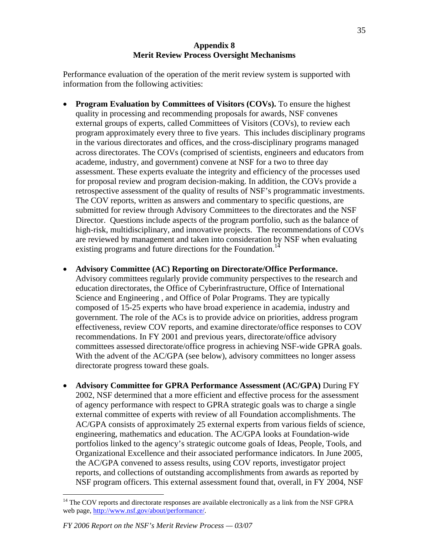#### **Appendix 8 Merit Review Process Oversight Mechanisms**

Performance evaluation of the operation of the merit review system is supported with information from the following activities:

- **Program Evaluation by Committees of Visitors (COVs).** To ensure the highest quality in processing and recommending proposals for awards, NSF convenes external groups of experts, called Committees of Visitors (COVs), to review each program approximately every three to five years. This includes disciplinary programs in the various directorates and offices, and the cross-disciplinary programs managed across directorates. The COVs (comprised of scientists, engineers and educators from academe, industry, and government) convene at NSF for a two to three day assessment. These experts evaluate the integrity and efficiency of the processes used for proposal review and program decision-making. In addition, the COVs provide a retrospective assessment of the quality of results of NSF's programmatic investments. The COV reports, written as answers and commentary to specific questions, are submitted for review through Advisory Committees to the directorates and the NSF Director. Questions include aspects of the program portfolio, such as the balance of high-risk, multidisciplinary, and innovative projects. The recommendations of COVs are reviewed by management and taken into consideration by NSF when evaluating existing programs and future directions for the Foundation.<sup>14</sup>
- **Advisory Committee (AC) Reporting on Directorate/Office Performance.**  Advisory committees regularly provide community perspectives to the research and education directorates, the Office of Cyberinfrastructure, Office of International Science and Engineering , and Office of Polar Programs. They are typically composed of 15-25 experts who have broad experience in academia, industry and government. The role of the ACs is to provide advice on priorities, address program effectiveness, review COV reports, and examine directorate/office responses to COV recommendations. In FY 2001 and previous years, directorate/office advisory committees assessed directorate/office progress in achieving NSF-wide GPRA goals. With the advent of the AC/GPA (see below), advisory committees no longer assess directorate progress toward these goals.
- **Advisory Committee for GPRA Performance Assessment (AC/GPA)** During FY 2002, NSF determined that a more efficient and effective process for the assessment of agency performance with respect to GPRA strategic goals was to charge a single external committee of experts with review of all Foundation accomplishments. The AC/GPA consists of approximately 25 external experts from various fields of science, engineering, mathematics and education. The AC/GPA looks at Foundation-wide portfolios linked to the agency's strategic outcome goals of Ideas, People, Tools, and Organizational Excellence and their associated performance indicators. In June 2005, the AC/GPA convened to assess results, using COV reports, investigator project reports, and collections of outstanding accomplishments from awards as reported by NSF program officers. This external assessment found that, overall, in FY 2004, NSF

<sup>&</sup>lt;sup>14</sup> The COV reports and directorate responses are available electronically as a link from the NSF GPRA web page, http://www.nsf.gov/about/performance/.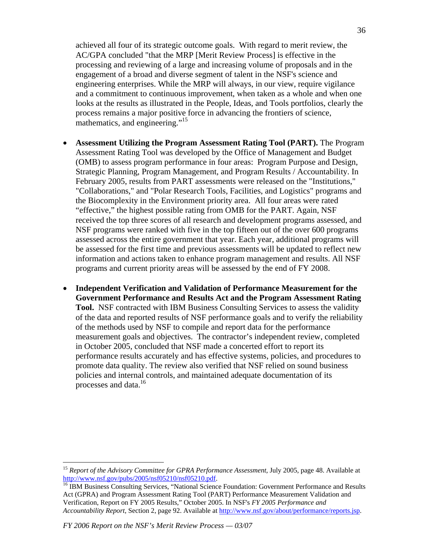achieved all four of its strategic outcome goals. With regard to merit review, the AC/GPA concluded "that the MRP [Merit Review Process] is effective in the processing and reviewing of a large and increasing volume of proposals and in the engagement of a broad and diverse segment of talent in the NSF's science and engineering enterprises. While the MRP will always, in our view, require vigilance and a commitment to continuous improvement, when taken as a whole and when one looks at the results as illustrated in the People, Ideas, and Tools portfolios, clearly the process remains a major positive force in advancing the frontiers of science, mathematics, and engineering."<sup>15</sup>

- **Assessment Utilizing the Program Assessment Rating Tool (PART).** The Program Assessment Rating Tool was developed by the Office of Management and Budget (OMB) to assess program performance in four areas: Program Purpose and Design, Strategic Planning, Program Management, and Program Results / Accountability. In February 2005, results from PART assessments were released on the "Institutions," "Collaborations," and "Polar Research Tools, Facilities, and Logistics" programs and the Biocomplexity in the Environment priority area. All four areas were rated "effective," the highest possible rating from OMB for the PART. Again, NSF received the top three scores of all research and development programs assessed, and NSF programs were ranked with five in the top fifteen out of the over 600 programs assessed across the entire government that year. Each year, additional programs will be assessed for the first time and previous assessments will be updated to reflect new information and actions taken to enhance program management and results. All NSF programs and current priority areas will be assessed by the end of FY 2008.
- **Independent Verification and Validation of Performance Measurement for the Government Performance and Results Act and the Program Assessment Rating Tool.** NSF contracted with IBM Business Consulting Services to assess the validity of the data and reported results of NSF performance goals and to verify the reliability of the methods used by NSF to compile and report data for the performance measurement goals and objectives. The contractor's independent review, completed in October 2005, concluded that NSF made a concerted effort to report its performance results accurately and has effective systems, policies, and procedures to promote data quality. The review also verified that NSF relied on sound business policies and internal controls, and maintained adequate documentation of its processes and data.<sup>16</sup>

<sup>&</sup>lt;sup>15</sup> Report of the Advisory Committee for GPRA Performance Assessment, July 2005, page 48. Available at http://www.nsf.gov/pubs/2005/nsf05210/nsf05210.pdf.

<sup>&</sup>lt;sup>16</sup> IBM Business Consulting Services, "National Science Foundation: Government Performance and Results Act (GPRA) and Program Assessment Rating Tool (PART) Performance Measurement Validation and Verification, Report on FY 2005 Results," October 2005. In NSF's *FY 2005 Performance and Accountability Report*, Section 2, page 92. Available at http://www.nsf.gov/about/performance/reports.jsp.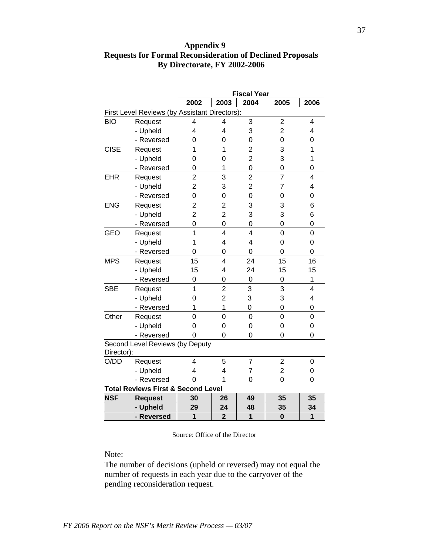#### **Appendix 9 Requests for Formal Reconsideration of Declined Proposals By Directorate, FY 2002-2006**

|             |                                               | <b>Fiscal Year</b> |                |                |                |                |  |  |
|-------------|-----------------------------------------------|--------------------|----------------|----------------|----------------|----------------|--|--|
|             |                                               | 2002               | 2003           | 2004           | 2005           | 2006           |  |  |
|             | First Level Reviews (by Assistant Directors): |                    |                |                |                |                |  |  |
| <b>BIO</b>  | Request                                       | 4                  | 4              | 3              | $\overline{2}$ | 4              |  |  |
|             | - Upheld                                      | 4                  | 4              | 3              | $\overline{2}$ | 4              |  |  |
|             | - Reversed                                    | 0                  | 0              | 0              | 0              | 0              |  |  |
| <b>CISE</b> | Request                                       | 1                  | 1              | $\overline{2}$ | 3              | 1              |  |  |
|             | - Upheld                                      | 0                  | 0              | $\overline{2}$ | 3              | 1              |  |  |
|             | - Reversed                                    | 0                  | 1              | 0              | 0              | 0              |  |  |
| <b>EHR</b>  | Request                                       | $\overline{2}$     | 3              | $\overline{2}$ | 7              | 4              |  |  |
|             | - Upheld                                      | $\overline{2}$     | 3              | $\overline{2}$ | 7              | 4              |  |  |
|             | - Reversed                                    | 0                  | 0              | 0              | 0              | 0              |  |  |
| <b>ENG</b>  | Request                                       | $\overline{2}$     | $\overline{c}$ | 3              | 3              | 6              |  |  |
|             | - Upheld                                      | $\overline{2}$     | $\overline{2}$ | 3              | 3              | 6              |  |  |
|             | - Reversed                                    | 0                  | $\overline{0}$ | 0              | 0              | 0              |  |  |
| GEO         | Request                                       | $\mathbf{1}$       | 4              | $\overline{4}$ | 0              | 0              |  |  |
|             | - Upheld                                      | 1                  | 4              | 4              | 0              | 0              |  |  |
|             | - Reversed                                    | 0                  | 0              | 0              | 0              | 0              |  |  |
| <b>MPS</b>  | Request                                       | 15                 | 4              | 24             | 15             | 16             |  |  |
|             | - Upheld                                      | 15                 | 4              | 24             | 15             | 15             |  |  |
|             | - Reversed                                    | 0                  | 0              | $\mathbf 0$    | 0              | 1              |  |  |
| <b>SBE</b>  | Request                                       | 1                  | $\overline{2}$ | 3              | 3              | $\overline{4}$ |  |  |
|             | - Upheld                                      | 0                  | $\overline{2}$ | 3              | 3              | 4              |  |  |
|             | - Reversed                                    | 1                  | 1              | 0              | 0              | 0              |  |  |
| Other       | Request                                       | 0                  | $\overline{0}$ | $\overline{0}$ | $\overline{0}$ | 0              |  |  |
|             | - Upheld                                      | 0                  | 0              | 0              | 0              | 0              |  |  |
|             | - Reversed                                    | O                  | 0              | 0              | $\overline{0}$ | 0              |  |  |
| Director):  | Second Level Reviews (by Deputy               |                    |                |                |                |                |  |  |
| O/DD        | Request                                       | 4                  | 5              | 7              | 2              | 0              |  |  |
|             | - Upheld                                      | 4                  | 4              | 7              | $\overline{2}$ | 0              |  |  |
|             | - Reversed                                    | 0                  | 1              | 0              | $\overline{0}$ | 0              |  |  |
|             | <b>Total Reviews First &amp; Second Level</b> |                    |                |                |                |                |  |  |
| <b>NSF</b>  | <b>Request</b>                                | 30                 | 26             | 49             | 35             | 35             |  |  |
|             | - Upheld                                      | 29                 | 24             | 48             | 35             | 34             |  |  |
|             | - Reversed                                    | 1                  | $\overline{2}$ | $\overline{1}$ | $\bf{0}$       | $\overline{1}$ |  |  |

Source: Office of the Director

Note:

The number of decisions (upheld or reversed) may not equal the number of requests in each year due to the carryover of the pending reconsideration request.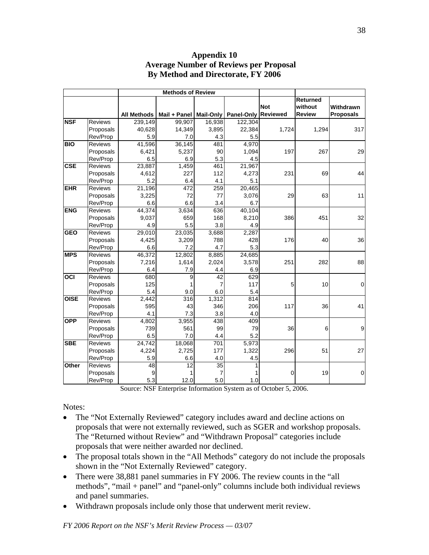|                |                | Methods of Review  |                |           |            |                        |                                             |                               |
|----------------|----------------|--------------------|----------------|-----------|------------|------------------------|---------------------------------------------|-------------------------------|
|                |                | <b>All Methods</b> | Mail + Panel   | Mail-Only | Panel-Only | <b>Not</b><br>Reviewed | <b>Returned</b><br>without<br><b>Review</b> | Withdrawn<br><b>Proposals</b> |
| <b>NSF</b>     | Reviews        | 239,149            | 99,907         | 16,938    | 122,304    |                        |                                             |                               |
|                | Proposals      | 40,628             | 14,349         | 3,895     | 22,384     | 1,724                  | 1,294                                       | 317                           |
|                | Rev/Prop       | 5.9                | 7.0            | 4.3       | 5.5        |                        |                                             |                               |
| <b>BIO</b>     | Reviews        | 41,596             | 36,145         | 481       | 4,970      |                        |                                             |                               |
|                | Proposals      | 6,421              | 5,237          | 90        | 1,094      | 197                    | 267                                         | 29                            |
|                | Rev/Prop       | 6.5                | 6.9            | 5.3       | 4.5        |                        |                                             |                               |
| <b>CSE</b>     | Reviews        | 23,887             | 1,459          | 461       | 21,967     |                        |                                             |                               |
|                | Proposals      | 4,612              | 227            | 112       | 4,273      | 231                    | 69                                          | 44                            |
|                | Rev/Prop       | 5.2                | 6.4            | 4.1       | 5.1        |                        |                                             |                               |
| <b>EHR</b>     | Reviews        | 21,196             | 472            | 259       | 20,465     |                        |                                             |                               |
|                | Proposals      | 3,225              | 72             | 77        | 3,076      | 29                     | 63                                          | 11                            |
|                | Rev/Prop       | 6.6                | 6.6            | 3.4       | 6.7        |                        |                                             |                               |
| <b>ENG</b>     | <b>Reviews</b> | 44,374             | 3,634          | 636       | 40,104     |                        |                                             |                               |
|                | Proposals      | 9,037              | 659            | 168       | 8,210      | 386                    | 451                                         | 32                            |
|                | Rev/Prop       | 4.9                | 5.5            | 3.8       | 4.9        |                        |                                             |                               |
| <b>GEO</b>     | <b>Reviews</b> | 29,010             | 23,035         | 3,688     | 2,287      |                        |                                             |                               |
|                | Proposals      | 4,425              | 3,209          | 788       | 428        | 176                    | 40                                          | 36                            |
|                | Rev/Prop       | 6.6                | 7.2            | 4.7       | 5.3        |                        |                                             |                               |
| <b>MPS</b>     | <b>Reviews</b> | 46,372             | 12,802         | 8,885     | 24,685     |                        |                                             |                               |
|                | Proposals      | 7,216              | 1,614          | 2,024     | 3,578      | 251                    | 282                                         | 88                            |
|                | Rev/Prop       | 6.4                | 7.9            | 4.4       | 6.9        |                        |                                             |                               |
| $\overline{a}$ | <b>Reviews</b> | 680                | $\overline{9}$ | 42        | 629        |                        |                                             |                               |
|                | Proposals      | 125                |                | 7         | 117        | 5                      | 10                                          | $\mathbf 0$                   |
|                | Rev/Prop       | 5.4                | 9.0            | 6.0       | 5.4        |                        |                                             |                               |
| <b>OISE</b>    | Reviews        | 2,442              | 316            | 1,312     | 814        |                        |                                             |                               |
|                | Proposals      | 595                | 43             | 346       | 206        | 117                    | 36                                          | 41                            |
|                | Rev/Prop       | 4.1                | 7.3            | 3.8       | 4.0        |                        |                                             |                               |
| <b>OPP</b>     | <b>Reviews</b> | 4,802              | 3,955          | 438       | 409        |                        |                                             |                               |
|                | Proposals      | 739                | 561            | 99        | 79         | 36                     | 6                                           | $\boldsymbol{9}$              |
|                | Rev/Prop       | 6.5                | 7.0            | 4.4       | 5.2        |                        |                                             |                               |
| <b>SBE</b>     | <b>Reviews</b> | 24,742             | 18,068         | 701       | 5,973      |                        |                                             |                               |
|                | Proposals      | 4,224              | 2,725          | 177       | 1,322      | 296                    | 51                                          | 27                            |
|                | Rev/Prop       | 5.9                | 6.6            | 4.0       | 4.5        |                        |                                             |                               |
| Other          | Reviews        | 48                 | 12             | 35        |            |                        |                                             |                               |
|                | Proposals      | 9                  | 1              | 7         |            | 0                      | 19                                          | $\pmb{0}$                     |
|                | Rev/Prop       | 5.3                | 12.0           | 5.0       | 1.0        |                        |                                             |                               |

#### **Appendix 10 Average Number of Reviews per Proposal By Method and Directorate, FY 2006**

Source: NSF Enterprise Information System as of October 5, 2006.

Notes:

- The "Not Externally Reviewed" category includes award and decline actions on proposals that were not externally reviewed, such as SGER and workshop proposals. The "Returned without Review" and "Withdrawn Proposal" categories include proposals that were neither awarded nor declined.
- The proposal totals shown in the "All Methods" category do not include the proposals shown in the "Not Externally Reviewed" category.
- There were 38,881 panel summaries in FY 2006. The review counts in the "all" methods", "mail + panel" and "panel-only" columns include both individual reviews and panel summaries.
- Withdrawn proposals include only those that underwent merit review.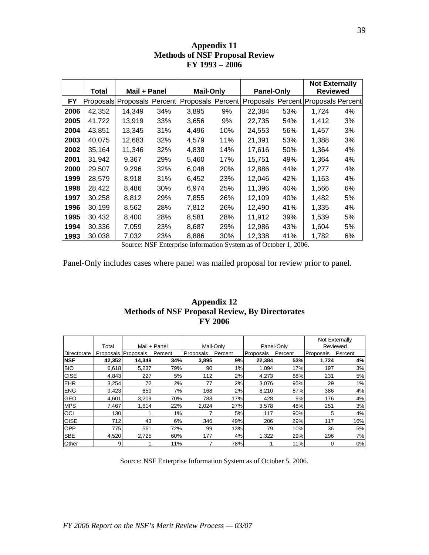|           |        |              |     |                                               |                  |        |            | <b>Not Externally</b>                 |                 |  |
|-----------|--------|--------------|-----|-----------------------------------------------|------------------|--------|------------|---------------------------------------|-----------------|--|
|           | Total  | Mail + Panel |     |                                               | <b>Mail-Only</b> |        | Panel-Only |                                       | <b>Reviewed</b> |  |
| <b>FY</b> |        |              |     | Proposals Proposals Percent Proposals Percent |                  |        |            | Proposals Percent   Proposals Percent |                 |  |
| 2006      | 42,352 | 14.349       | 34% | 3,895                                         | 9%               | 22,384 | 53%        | 1,724                                 | 4%              |  |
| 2005      | 41,722 | 13.919       | 33% | 3,656                                         | 9%               | 22,735 | 54%        | 1.412                                 | 3%              |  |
| 2004      | 43,851 | 13,345       | 31% | 4,496                                         | 10%              | 24,553 | 56%        | 1,457                                 | 3%              |  |
| 2003      | 40,075 | 12,683       | 32% | 4,579                                         | 11%              | 21,391 | 53%        | 1,388                                 | 3%              |  |
| 2002      | 35,164 | 11,346       | 32% | 4,838                                         | 14%              | 17,616 | 50%        | 1,364                                 | 4%              |  |
| 2001      | 31,942 | 9,367        | 29% | 5,460                                         | 17%              | 15,751 | 49%        | 1,364                                 | 4%              |  |
| 2000      | 29,507 | 9,296        | 32% | 6,048                                         | 20%              | 12,886 | 44%        | 1,277                                 | 4%              |  |
| 1999      | 28,579 | 8,918        | 31% | 6,452                                         | 23%              | 12,046 | 42%        | 1,163                                 | 4%              |  |
| 1998      | 28,422 | 8,486        | 30% | 6,974                                         | 25%              | 11,396 | 40%        | 1,566                                 | 6%              |  |
| 1997      | 30,258 | 8,812        | 29% | 7,855                                         | 26%              | 12,109 | 40%        | 1,482                                 | 5%              |  |
| 1996      | 30,199 | 8,562        | 28% | 7,812                                         | 26%              | 12,490 | 41%        | 1,335                                 | 4%              |  |
| 1995      | 30,432 | 8.400        | 28% | 8,581                                         | 28%              | 11.912 | 39%        | 1,539                                 | 5%              |  |
| 1994      | 30,336 | 7,059        | 23% | 8,687                                         | 29%              | 12,986 | 43%        | 1,604                                 | 5%              |  |
| 1993      | 30,038 | 7,032        | 23% | 8,886                                         | 30%              | 12,338 | 41%        | 1,782                                 | 6%              |  |

#### **Appendix 11 Methods of NSF Proposal Review FY 1993 – 2006**

Source: NSF Enterprise Information System as of October 1, 2006.

Panel-Only includes cases where panel was mailed proposal for review prior to panel.

#### **Appendix 12 Methods of NSF Proposal Review, By Directorates FY 2006**

|             |                     |        |              |           |            |           |            |           | Not Externally |
|-------------|---------------------|--------|--------------|-----------|------------|-----------|------------|-----------|----------------|
|             | Total               |        | Mail + Panel |           | Mail-Only  |           | Panel-Only | Reviewed  |                |
| Directorate | Proposals Proposals |        | Percent      | Proposals | Percent    | Proposals | Percent    | Proposals | Percent        |
| <b>NSF</b>  | 42,352              | 14,349 | 34%          | 3,895     | 9%         | 22,384    | 53%        | 1,724     | 4%             |
| <b>BIO</b>  | 6,618               | 5,237  | 79%          | 90        | 1%         | 1.094     | 17%        | 197       | 3%             |
| <b>CISE</b> | 4,843               | 227    | 5%           | 112       | 2%         | 4,273     | 88%        | 231       | 5%             |
| <b>EHR</b>  | 3,254               | 72     | 2%           | 77        | 2%         | 3,076     | 95%        | 29        | 1%             |
| <b>ENG</b>  | 9,423               | 659    | 7%           | 168       | 2%         | 8,210     | 87%        | 386       | 4%             |
| GEO         | 4.601               | 3.209  | 70%          | 788       | <b>17%</b> | 428       | 9%         | 176       | 4%             |
| <b>MPS</b>  | 7,467               | 1,614  | 22%          | 2,024     | 27%        | 3,578     | 48%        | 251       | 3%             |
| OCI         | 130                 |        | 1%           |           | 5%         | 117       | 90%        | 5         | 4%             |
| OISE        | 712                 | 43     | 6%           | 346       | 49%        | 206       | 29%        | 117       | 16%            |
| OPP         | 775                 | 561    | 72%          | 99        | <b>13%</b> | 79        | 10%        | 36        | 5%             |
| <b>SBE</b>  | 4,520               | 2.725  | 60%          | 177       | 4%         | 1,322     | 29%        | 296       | 7%             |
| Other       | 9                   |        | 11%          |           | <b>78%</b> |           | 11%        | 0         | 0%             |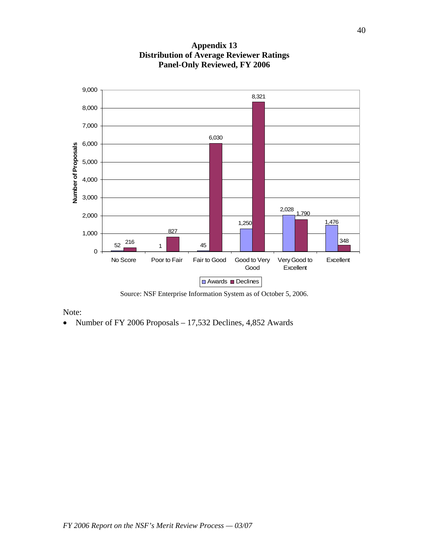

**Appendix 13 Distribution of Average Reviewer Ratings Panel-Only Reviewed, FY 2006** 

Source: NSF Enterprise Information System as of October 5, 2006.

Note:

• Number of FY 2006 Proposals – 17,532 Declines, 4,852 Awards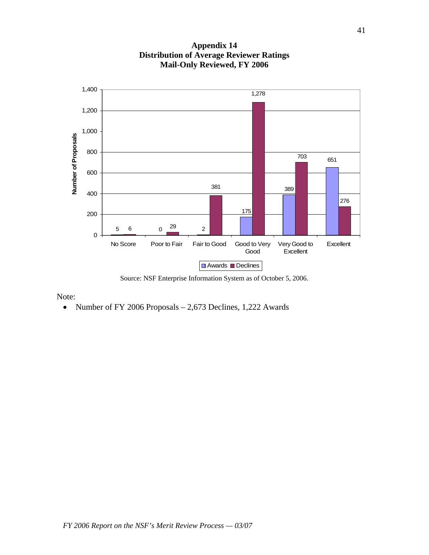

**Appendix 14 Distribution of Average Reviewer Ratings Mail-Only Reviewed, FY 2006** 

Source: NSF Enterprise Information System as of October 5, 2006.

Note:

• Number of FY 2006 Proposals – 2,673 Declines, 1,222 Awards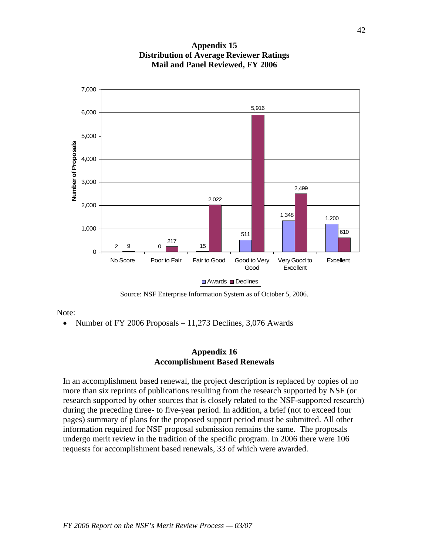

**Distribution of Average Reviewer Ratings Mail and Panel Reviewed, FY 2006** 

Source: NSF Enterprise Information System as of October 5, 2006.

Note:

• Number of FY 2006 Proposals  $-11,273$  Declines, 3,076 Awards

#### **Appendix 16 Accomplishment Based Renewals**

In an accomplishment based renewal, the project description is replaced by copies of no more than six reprints of publications resulting from the research supported by NSF (or research supported by other sources that is closely related to the NSF-supported research) during the preceding three- to five-year period. In addition, a brief (not to exceed four pages) summary of plans for the proposed support period must be submitted. All other information required for NSF proposal submission remains the same. The proposals undergo merit review in the tradition of the specific program. In 2006 there were 106 requests for accomplishment based renewals, 33 of which were awarded.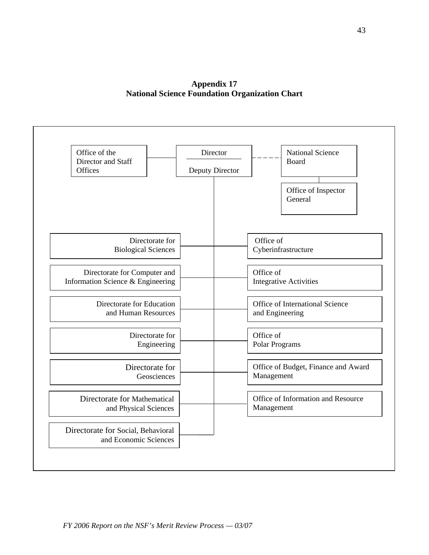**Appendix 17 National Science Foundation Organization Chart**